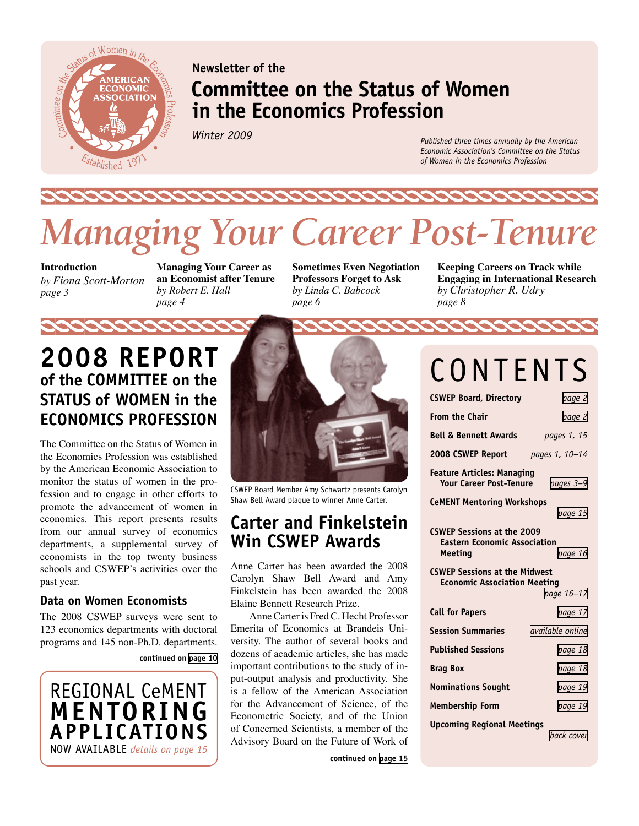

# **Newsletter of the Committee on the Status of Women in the Economics Profession**

*Winter 2009*

*Published three times annually by the American Economic Association's Committee on the Status of Women in the Economics Profession*

# *Managing Your Career Post-Tenure*

**Introduction**  *by Fiona Scott-Morton page 3* 

**Managing Your Career as an Economist after Tenure**  *by Robert E. Hall page 4*

**Sometimes Even Negotiation Professors Forget to Ask** *by Linda C. Babcock page 6*

**Keeping Careers on Track while Engaging in International Research** *by Christopher R. Udry page 8*

# **2008 Report of the Committee on the Status of Women in the Economics Profession**

The Committee on the Status of Women in the Economics Profession was established by the American Economic Association to monitor the status of women in the profession and to engage in other efforts to promote the advancement of women in economics. This report presents results from our annual survey of economics departments, a supplemental survey of economists in the top twenty business schools and CSWEP's activities over the past year.

### **Data on Women Economists**

The 2008 CSWEP surveys were sent to 123 economics departments with doctoral programs and 145 non-Ph.D. departments.

**continued on [page 10](#page-9-0)**





CSWEP Board Member Amy Schwartz presents Carolyn Shaw Bell Award plaque to winner Anne Carter.

# **Carter and Finkelstein Win CSWEP Awards**

Anne Carter has been awarded the 2008 Carolyn Shaw Bell Award and Amy Finkelstein has been awarded the 2008 Elaine Bennett Research Prize.

Anne Carter is Fred C. Hecht Professor Emerita of Economics at Brandeis University. The author of several books and dozens of academic articles, she has made important contributions to the study of input-output analysis and productivity. She is a fellow of the American Association for the Advancement of Science, of the Econometric Society, and of the Union of Concerned Scientists, a member of the Advisory Board on the Future of Work of

**continued on [page 15](#page-14-1)**

# CONTENTS

| <b>CSWEP Board, Directory</b>                                                              | page 2                  |
|--------------------------------------------------------------------------------------------|-------------------------|
| <b>From the Chair</b>                                                                      | page 2                  |
| <b>Bell &amp; Bennett Awards</b>                                                           | pages 1, 15             |
| 2008 CSWEP Report                                                                          | pages 1, 10-14          |
| <b>Feature Articles: Managing</b><br><b>Your Career Post-Tenure</b>                        | pages 3-9               |
| <b>CeMENT Mentoring Workshops</b>                                                          |                         |
|                                                                                            | page 15                 |
| <b>CSWEP Sessions at the 2009</b><br><b>Eastern Economic Association</b><br><b>Meeting</b> | page 16                 |
| <b>CSWEP Sessions at the Midwest</b>                                                       |                         |
| <b>Economic Association Meeting</b>                                                        |                         |
|                                                                                            | page 16-17              |
| <b>Call for Papers</b>                                                                     | page 17                 |
| <b>Session Summaries</b>                                                                   | <i>available online</i> |
| <b>Published Sessions</b>                                                                  | page 18                 |
| <b>Brag Box</b>                                                                            | page 18                 |
| <b>Nominations Sought</b>                                                                  | page 19                 |
| <b>Membership Form</b>                                                                     | page 19                 |
| <b>Upcoming Regional Meetings</b>                                                          |                         |
|                                                                                            | back cover              |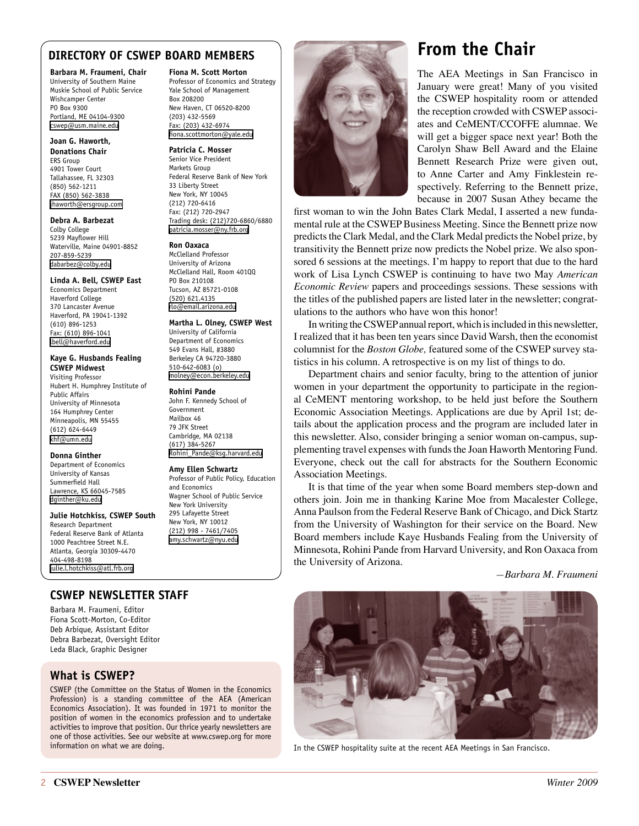### <span id="page-1-0"></span>**DIRECTORY OF CSWEP BOARD MEMBERS**

**Barbara M. Fraumeni, Chair**

University of Southern Maine Muskie School of Public Service Wishcamper Center PO Box 9300 Portland, ME 04104-9300 [cswep@usm.maine.edu](mailto:cswep@usm.maine.edu)

**Joan G. Haworth, Donations Chair** ERS Group 4901 Tower Court Tallahassee, FL 32303 (850) 562-1211 FAX (850) 562-3838 [jhaworth@ersgroup.com](mailto:jhaworth@ersgroup.com)

#### **Debra A. Barbezat**

Colby College 5239 Mayflower Hill Waterville, Maine 04901-8852 207-859-5239 [dabarbez@colby.edu](mailto:dabarbez@colby.edu)

#### **Linda A. Bell, CSWEP East**

Economics Department Haverford College 370 Lancaster Avenue Haverford, PA 19041-1392 (610) 896-1253 Fax: (610) 896-1041 [lbell@haverford.edu](mailto:lbell@haverford.edu)

#### **Kaye G. Husbands Fealing CSWEP Midwest**

Visiting Professor Hubert H. Humphrey Institute of Public Affairs University of Minnesota 164 Humphrey Center Minneapolis, MN 55455 (612) 624-6449 [khf@umn.edu](mailto:khf@umn.edu)

#### **Donna Ginther**

Department of Economics University of Kansas Summerfield Hall Lawrence, KS 66045-7585 [dginther@ku.edu](mailto:dginther@ku.edu)

#### **Julie Hotchkiss, CSWEP South**

Research Department Federal Reserve Bank of Atlanta 1000 Peachtree Street N.E. Atlanta, Georgia 30309-4470 404-498-8198 [julie.l.hotchkiss@atl.frb.org](mailto:julie.l.hotchkiss@atl.frb.org)

### **CSWEP NEWSLETTER STAFF**

Barbara M. Fraumeni, Editor Fiona Scott-Morton, Co-Editor Deb Arbique, Assistant Editor Debra Barbezat, Oversight Editor Leda Black, Graphic Designer

### **What is CSWEP?**

CSWEP (the Committee on the Status of Women in the Economics Profession) is a standing committee of the AEA (American Economics Association). It was founded in 1971 to monitor the position of women in the economics profession and to undertake activities to improve that position. Our thrice yearly newsletters are one of those activities. See our website at [www.cswep.org](http://www.cswep.org) for more information on what we are doing.

#### **Fiona M. Scott Morton**

Professor of Economics and Strategy Yale School of Management Box 208200 New Haven, CT 06520-8200 (203) 432-5569 Fax: (203) 432-6974 [fiona.scottmorton@yale.edu](mailto:fiona.scottmorton@yale.edu)

#### **Patricia C. Mosser**

Senior Vice President Markets Group Federal Reserve Bank of New York 33 Liberty Street New York, NY 10045 (212) 720-6416 Fax: (212) 720-2947 Trading desk: (212)720-6860/6880 [patricia.mosser@ny.frb.org](mailto:patricia.mosser@ny.frb.org)

#### **Ron Oaxaca**

McClelland Professor University of Arizona McClelland Hall, Room 401QQ PO Box 210108 Tucson, AZ 85721-0108 (520) 621.4135 [rlo@email.arizona.edu](mailto:rlo@email.arizona.edu)

#### **Martha L. Olney, CSWEP West**

University of California Department of Economics 549 Evans Hall, #3880 Berkeley CA 94720-3880 510-642-6083 (o) [molney@econ.berkeley.edu](mailto:molney@econ.berkeley.edu)

#### **Rohini Pande**

John F. Kennedy School of Government Mailbox 46 79 JFK Street Cambridge, MA 02138 (617) 384-5267 [Rohini\\_Pande@ksg.harvard.edu](mailto:Rohini_Pande@ksg.harvard.edu)

### **Amy Ellen Schwartz**

Professor of Public Policy, Education and Economics Wagner School of Public Service New York University 295 Lafayette Street New York, NY 10012 (212) 998 - 7461/7405 [amy.schwartz@nyu.edu](mailto:amy.schwartz@nyu.edu)



# **From the Chair**

The AEA Meetings in San Francisco in January were great! Many of you visited the CSWEP hospitality room or attended the reception crowded with CSWEP associates and CeMENT/CCOFFE alumnae. We will get a bigger space next year! Both the Carolyn Shaw Bell Award and the Elaine Bennett Research Prize were given out, to Anne Carter and Amy Finklestein respectively. Referring to the Bennett prize, because in 2007 Susan Athey became the

first woman to win the John Bates Clark Medal, I asserted a new fundamental rule at the CSWEP Business Meeting. Since the Bennett prize now predicts the Clark Medal, and the Clark Medal predicts the Nobel prize, by transitivity the Bennett prize now predicts the Nobel prize. We also sponsored 6 sessions at the meetings. I'm happy to report that due to the hard work of Lisa Lynch CSWEP is continuing to have two May *American Economic Review* papers and proceedings sessions. These sessions with the titles of the published papers are listed later in the newsletter; congratulations to the authors who have won this honor!

In writing the CSWEP annual report, which is included in this newsletter, I realized that it has been ten years since David Warsh, then the economist columnist for the *Boston Globe,* featured some of the CSWEP survey statistics in his column. A retrospective is on my list of things to do.

Department chairs and senior faculty, bring to the attention of junior women in your department the opportunity to participate in the regional CeMENT mentoring workshop, to be held just before the Southern Economic Association Meetings. Applications are due by April 1st; details about the application process and the program are included later in this newsletter. Also, consider bringing a senior woman on-campus, supplementing travel expenses with funds the Joan Haworth Mentoring Fund. Everyone, check out the call for abstracts for the Southern Economic Association Meetings.

It is that time of the year when some Board members step-down and others join. Join me in thanking Karine Moe from Macalester College, Anna Paulson from the Federal Reserve Bank of Chicago, and Dick Startz from the University of Washington for their service on the Board. New Board members include Kaye Husbands Fealing from the University of Minnesota, Rohini Pande from Harvard University, and Ron Oaxaca from the University of Arizona.

*—Barbara M. Fraumeni*



In the CSWEP hospitality suite at the recent AEA Meetings in San Francisco.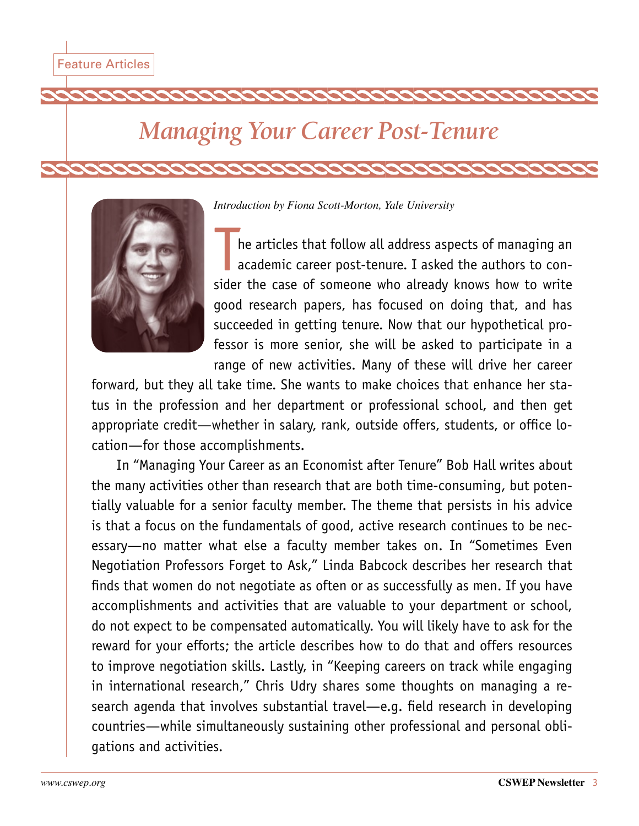# <span id="page-2-0"></span>*Managing Your Career Post-Tenure*



*Introduction by Fiona Scott-Morton, Yale University*

he articles that follow all address aspects of managing an academic career post-tenure. I asked the authors to consider the case of someone who already knows how to write good research papers, has focused on doing that, and has succeeded in getting tenure. Now that our hypothetical professor is more senior, she will be asked to participate in a range of new activities. Many of these will drive her career

forward, but they all take time. She wants to make choices that enhance her status in the profession and her department or professional school, and then get appropriate credit—whether in salary, rank, outside offers, students, or office location—for those accomplishments.

In "Managing Your Career as an Economist after Tenure" Bob Hall writes about the many activities other than research that are both time-consuming, but potentially valuable for a senior faculty member. The theme that persists in his advice is that a focus on the fundamentals of good, active research continues to be necessary—no matter what else a faculty member takes on. In "Sometimes Even Negotiation Professors Forget to Ask," Linda Babcock describes her research that finds that women do not negotiate as often or as successfully as men. If you have accomplishments and activities that are valuable to your department or school, do not expect to be compensated automatically. You will likely have to ask for the reward for your efforts; the article describes how to do that and offers resources to improve negotiation skills. Lastly, in "Keeping careers on track while engaging in international research," Chris Udry shares some thoughts on managing a research agenda that involves substantial travel—e.g. field research in developing countries—while simultaneously sustaining other professional and personal obligations and activities.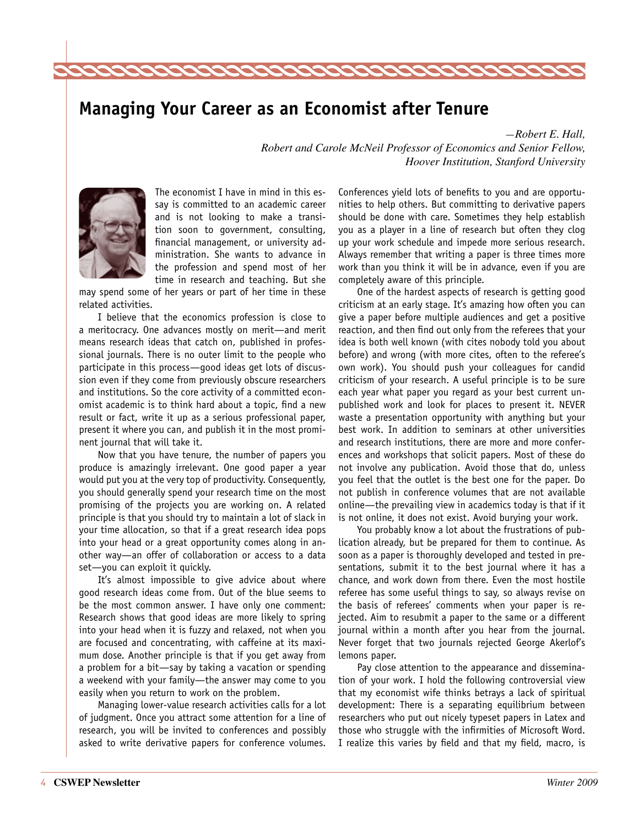# **Managing Your Career as an Economist after Tenure**

*—Robert E. Hall, Robert and Carole McNeil Professor of Economics and Senior Fellow, Hoover Institution, Stanford University*



The economist I have in mind in this essay is committed to an academic career and is not looking to make a transition soon to government, consulting, financial management, or university administration. She wants to advance in the profession and spend most of her time in research and teaching. But she

2222222222222

may spend some of her years or part of her time in these related activities.

I believe that the economics profession is close to a meritocracy. One advances mostly on merit—and merit means research ideas that catch on, published in professional journals. There is no outer limit to the people who participate in this process—good ideas get lots of discussion even if they come from previously obscure researchers and institutions. So the core activity of a committed economist academic is to think hard about a topic, find a new result or fact, write it up as a serious professional paper, present it where you can, and publish it in the most prominent journal that will take it.

Now that you have tenure, the number of papers you produce is amazingly irrelevant. One good paper a year would put you at the very top of productivity. Consequently, you should generally spend your research time on the most promising of the projects you are working on. A related principle is that you should try to maintain a lot of slack in your time allocation, so that if a great research idea pops into your head or a great opportunity comes along in another way—an offer of collaboration or access to a data set—you can exploit it quickly.

It's almost impossible to give advice about where good research ideas come from. Out of the blue seems to be the most common answer. I have only one comment: Research shows that good ideas are more likely to spring into your head when it is fuzzy and relaxed, not when you are focused and concentrating, with caffeine at its maximum dose. Another principle is that if you get away from a problem for a bit—say by taking a vacation or spending a weekend with your family—the answer may come to you easily when you return to work on the problem.

Managing lower-value research activities calls for a lot of judgment. Once you attract some attention for a line of research, you will be invited to conferences and possibly asked to write derivative papers for conference volumes.

Conferences yield lots of benefits to you and are opportunities to help others. But committing to derivative papers should be done with care. Sometimes they help establish you as a player in a line of research but often they clog up your work schedule and impede more serious research. Always remember that writing a paper is three times more work than you think it will be in advance, even if you are completely aware of this principle.

One of the hardest aspects of research is getting good criticism at an early stage. It's amazing how often you can give a paper before multiple audiences and get a positive reaction, and then find out only from the referees that your idea is both well known (with cites nobody told you about before) and wrong (with more cites, often to the referee's own work). You should push your colleagues for candid criticism of your research. A useful principle is to be sure each year what paper you regard as your best current unpublished work and look for places to present it. NEVER waste a presentation opportunity with anything but your best work. In addition to seminars at other universities and research institutions, there are more and more conferences and workshops that solicit papers. Most of these do not involve any publication. Avoid those that do, unless you feel that the outlet is the best one for the paper. Do not publish in conference volumes that are not available online—the prevailing view in academics today is that if it is not online, it does not exist. Avoid burying your work.

You probably know a lot about the frustrations of publication already, but be prepared for them to continue. As soon as a paper is thoroughly developed and tested in presentations, submit it to the best journal where it has a chance, and work down from there. Even the most hostile referee has some useful things to say, so always revise on the basis of referees' comments when your paper is rejected. Aim to resubmit a paper to the same or a different journal within a month after you hear from the journal. Never forget that two journals rejected George Akerlof's lemons paper.

Pay close attention to the appearance and dissemination of your work. I hold the following controversial view that my economist wife thinks betrays a lack of spiritual development: There is a separating equilibrium between researchers who put out nicely typeset papers in Latex and those who struggle with the infirmities of Microsoft Word. I realize this varies by field and that my field, macro, is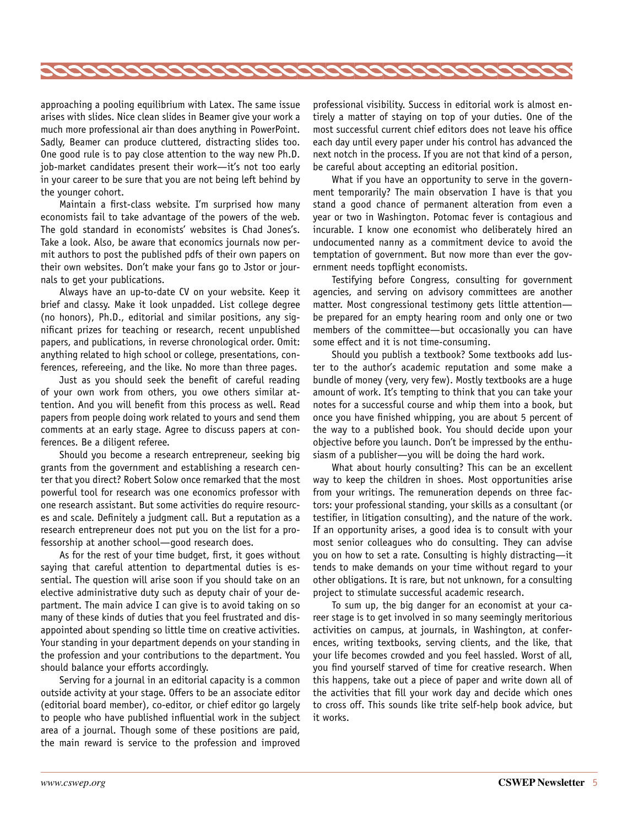

approaching a pooling equilibrium with Latex. The same issue arises with slides. Nice clean slides in Beamer give your work a much more professional air than does anything in PowerPoint. Sadly, Beamer can produce cluttered, distracting slides too. One good rule is to pay close attention to the way new Ph.D. job-market candidates present their work—it's not too early in your career to be sure that you are not being left behind by the younger cohort.

Maintain a first-class website. I'm surprised how many economists fail to take advantage of the powers of the web. The gold standard in economists' websites is Chad Jones's. Take a look. Also, be aware that economics journals now permit authors to post the published pdfs of their own papers on their own websites. Don't make your fans go to Jstor or journals to get your publications.

Always have an up-to-date CV on your website. Keep it brief and classy. Make it look unpadded. List college degree (no honors), Ph.D., editorial and similar positions, any significant prizes for teaching or research, recent unpublished papers, and publications, in reverse chronological order. Omit: anything related to high school or college, presentations, conferences, refereeing, and the like. No more than three pages.

Just as you should seek the benefit of careful reading of your own work from others, you owe others similar attention. And you will benefit from this process as well. Read papers from people doing work related to yours and send them comments at an early stage. Agree to discuss papers at conferences. Be a diligent referee.

Should you become a research entrepreneur, seeking big grants from the government and establishing a research center that you direct? Robert Solow once remarked that the most powerful tool for research was one economics professor with one research assistant. But some activities do require resources and scale. Definitely a judgment call. But a reputation as a research entrepreneur does not put you on the list for a professorship at another school—good research does.

As for the rest of your time budget, first, it goes without saying that careful attention to departmental duties is essential. The question will arise soon if you should take on an elective administrative duty such as deputy chair of your department. The main advice I can give is to avoid taking on so many of these kinds of duties that you feel frustrated and disappointed about spending so little time on creative activities. Your standing in your department depends on your standing in the profession and your contributions to the department. You should balance your efforts accordingly.

Serving for a journal in an editorial capacity is a common outside activity at your stage. Offers to be an associate editor (editorial board member), co-editor, or chief editor go largely to people who have published influential work in the subject area of a journal. Though some of these positions are paid, the main reward is service to the profession and improved

professional visibility. Success in editorial work is almost entirely a matter of staying on top of your duties. One of the most successful current chief editors does not leave his office each day until every paper under his control has advanced the next notch in the process. If you are not that kind of a person, be careful about accepting an editorial position.

What if you have an opportunity to serve in the government temporarily? The main observation I have is that you stand a good chance of permanent alteration from even a year or two in Washington. Potomac fever is contagious and incurable. I know one economist who deliberately hired an undocumented nanny as a commitment device to avoid the temptation of government. But now more than ever the government needs topflight economists.

Testifying before Congress, consulting for government agencies, and serving on advisory committees are another matter. Most congressional testimony gets little attention be prepared for an empty hearing room and only one or two members of the committee—but occasionally you can have some effect and it is not time-consuming.

Should you publish a textbook? Some textbooks add luster to the author's academic reputation and some make a bundle of money (very, very few). Mostly textbooks are a huge amount of work. It's tempting to think that you can take your notes for a successful course and whip them into a book, but once you have finished whipping, you are about 5 percent of the way to a published book. You should decide upon your objective before you launch. Don't be impressed by the enthusiasm of a publisher—you will be doing the hard work.

What about hourly consulting? This can be an excellent way to keep the children in shoes. Most opportunities arise from your writings. The remuneration depends on three factors: your professional standing, your skills as a consultant (or testifier, in litigation consulting), and the nature of the work. If an opportunity arises, a good idea is to consult with your most senior colleagues who do consulting. They can advise you on how to set a rate. Consulting is highly distracting—it tends to make demands on your time without regard to your other obligations. It is rare, but not unknown, for a consulting project to stimulate successful academic research.

To sum up, the big danger for an economist at your career stage is to get involved in so many seemingly meritorious activities on campus, at journals, in Washington, at conferences, writing textbooks, serving clients, and the like, that your life becomes crowded and you feel hassled. Worst of all, you find yourself starved of time for creative research. When this happens, take out a piece of paper and write down all of the activities that fill your work day and decide which ones to cross off. This sounds like trite self-help book advice, but it works.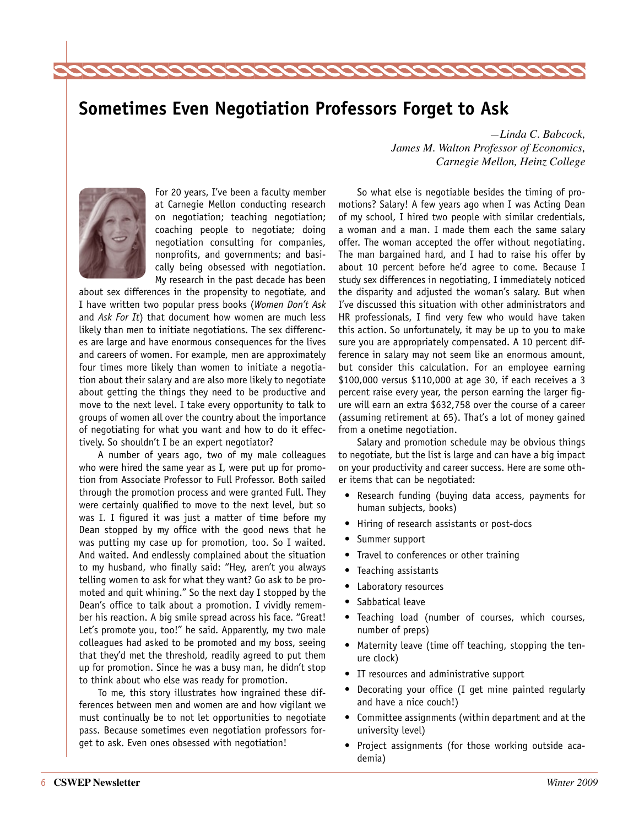



For 20 years, I've been a faculty member at Carnegie Mellon conducting research on negotiation; teaching negotiation; coaching people to negotiate; doing negotiation consulting for companies, nonprofits, and governments; and basically being obsessed with negotiation. My research in the past decade has been

222222222222

about sex differences in the propensity to negotiate, and I have written two popular press books (*Women Don't Ask* and *Ask For It*) that document how women are much less likely than men to initiate negotiations. The sex differences are large and have enormous consequences for the lives and careers of women. For example, men are approximately four times more likely than women to initiate a negotiation about their salary and are also more likely to negotiate about getting the things they need to be productive and move to the next level. I take every opportunity to talk to groups of women all over the country about the importance of negotiating for what you want and how to do it effectively. So shouldn't I be an expert negotiator?

A number of years ago, two of my male colleagues who were hired the same year as I, were put up for promotion from Associate Professor to Full Professor. Both sailed through the promotion process and were granted Full. They were certainly qualified to move to the next level, but so was I. I figured it was just a matter of time before my Dean stopped by my office with the good news that he was putting my case up for promotion, too. So I waited. And waited. And endlessly complained about the situation to my husband, who finally said: "Hey, aren't you always telling women to ask for what they want? Go ask to be promoted and quit whining." So the next day I stopped by the Dean's office to talk about a promotion. I vividly remember his reaction. A big smile spread across his face. "Great! Let's promote you, too!" he said. Apparently, my two male colleagues had asked to be promoted and my boss, seeing that they'd met the threshold, readily agreed to put them up for promotion. Since he was a busy man, he didn't stop to think about who else was ready for promotion.

To me, this story illustrates how ingrained these differences between men and women are and how vigilant we must continually be to not let opportunities to negotiate pass. Because sometimes even negotiation professors forget to ask. Even ones obsessed with negotiation!

*—Linda C. Babcock, James M. Walton Professor of Economics, Carnegie Mellon, Heinz College* 

So what else is negotiable besides the timing of promotions? Salary! A few years ago when I was Acting Dean of my school, I hired two people with similar credentials, a woman and a man. I made them each the same salary offer. The woman accepted the offer without negotiating. The man bargained hard, and I had to raise his offer by about 10 percent before he'd agree to come. Because I study sex differences in negotiating, I immediately noticed the disparity and adjusted the woman's salary. But when I've discussed this situation with other administrators and HR professionals, I find very few who would have taken this action. So unfortunately, it may be up to you to make sure you are appropriately compensated. A 10 percent difference in salary may not seem like an enormous amount, but consider this calculation. For an employee earning \$100,000 versus \$110,000 at age 30, if each receives a 3 percent raise every year, the person earning the larger figure will earn an extra \$632,758 over the course of a career (assuming retirement at 65). That's a lot of money gained from a onetime negotiation.

Salary and promotion schedule may be obvious things to negotiate, but the list is large and can have a big impact on your productivity and career success. Here are some other items that can be negotiated:

- Research funding (buying data access, payments for human subjects, books)
- • Hiring of research assistants or post-docs
- Summer support
- Travel to conferences or other training
- Teaching assistants
- Laboratory resources
- Sabbatical leave
- • Teaching load (number of courses, which courses, number of preps)
- Maternity leave (time off teaching, stopping the tenure clock)
- IT resources and administrative support
- Decorating your office (I get mine painted regularly and have a nice couch!)
- • Committee assignments (within department and at the university level)
- • Project assignments (for those working outside academia)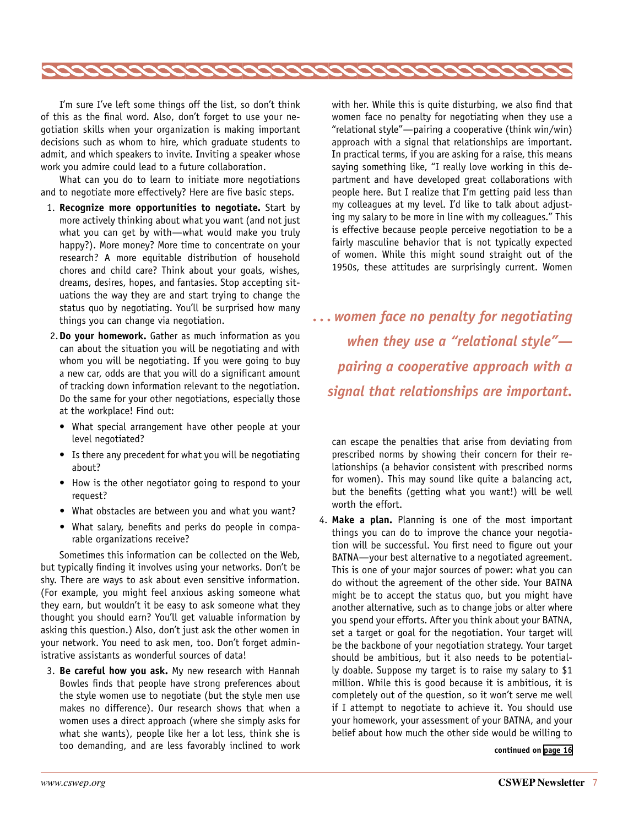

I'm sure I've left some things off the list, so don't think of this as the final word. Also, don't forget to use your negotiation skills when your organization is making important decisions such as whom to hire, which graduate students to admit, and which speakers to invite. Inviting a speaker whose work you admire could lead to a future collaboration.

What can you do to learn to initiate more negotiations and to negotiate more effectively? Here are five basic steps.

- 1. **Recognize more opportunities to negotiate.** Start by more actively thinking about what you want (and not just what you can get by with—what would make you truly happy?). More money? More time to concentrate on your research? A more equitable distribution of household chores and child care? Think about your goals, wishes, dreams, desires, hopes, and fantasies. Stop accepting situations the way they are and start trying to change the status quo by negotiating. You'll be surprised how many things you can change via negotiation.
- 2.**Do your homework.** Gather as much information as you can about the situation you will be negotiating and with whom you will be negotiating. If you were going to buy a new car, odds are that you will do a significant amount of tracking down information relevant to the negotiation. Do the same for your other negotiations, especially those at the workplace! Find out:
	- What special arrangement have other people at your level negotiated?
	- Is there any precedent for what you will be negotiating about?
	- How is the other negotiator going to respond to your request?
	- What obstacles are between you and what you want?
	- What salary, benefits and perks do people in comparable organizations receive?

Sometimes this information can be collected on the Web, but typically finding it involves using your networks. Don't be shy. There are ways to ask about even sensitive information. (For example, you might feel anxious asking someone what they earn, but wouldn't it be easy to ask someone what they thought you should earn? You'll get valuable information by asking this question.) Also, don't just ask the other women in your network. You need to ask men, too. Don't forget administrative assistants as wonderful sources of data!

3. **Be careful how you ask.** My new research with Hannah Bowles finds that people have strong preferences about the style women use to negotiate (but the style men use makes no difference). Our research shows that when a women uses a direct approach (where she simply asks for what she wants), people like her a lot less, think she is too demanding, and are less favorably inclined to work

with her. While this is quite disturbing, we also find that women face no penalty for negotiating when they use a "relational style"—pairing a cooperative (think win/win) approach with a signal that relationships are important. In practical terms, if you are asking for a raise, this means saying something like, "I really love working in this department and have developed great collaborations with people here. But I realize that I'm getting paid less than my colleagues at my level. I'd like to talk about adjusting my salary to be more in line with my colleagues." This is effective because people perceive negotiation to be a fairly masculine behavior that is not typically expected of women. While this might sound straight out of the 1950s, these attitudes are surprisingly current. Women

*. . . women face no penalty for negotiating when they use a "relational style" pairing a cooperative approach with a signal that relationships are important.*

can escape the penalties that arise from deviating from prescribed norms by showing their concern for their relationships (a behavior consistent with prescribed norms for women). This may sound like quite a balancing act, but the benefits (getting what you want!) will be well worth the effort.

4. **Make a plan.** Planning is one of the most important things you can do to improve the chance your negotiation will be successful. You first need to figure out your BATNA—your best alternative to a negotiated agreement. This is one of your major sources of power: what you can do without the agreement of the other side. Your BATNA might be to accept the status quo, but you might have another alternative, such as to change jobs or alter where you spend your efforts. After you think about your BATNA, set a target or goal for the negotiation. Your target will be the backbone of your negotiation strategy. Your target should be ambitious, but it also needs to be potentially doable. Suppose my target is to raise my salary to \$1 million. While this is good because it is ambitious, it is completely out of the question, so it won't serve me well if I attempt to negotiate to achieve it. You should use your homework, your assessment of your BATNA, and your belief about how much the other side would be willing to

**continued on [page 16](#page-15-1)**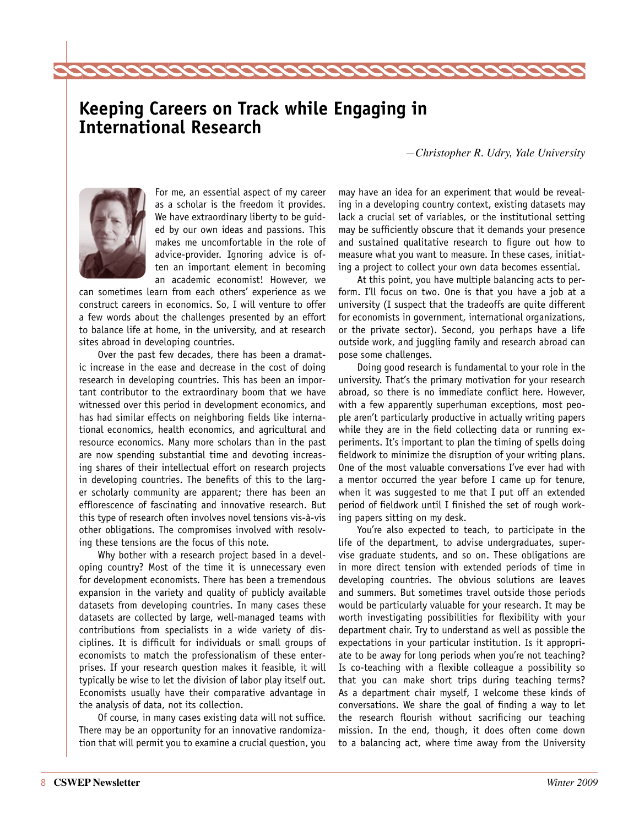## **Keeping Careers on Track while Engaging in International Research**

2222222222222

*—Christopher R. Udry, Yale University*



For me, an essential aspect of my career as a scholar is the freedom it provides. We have extraordinary liberty to be guided by our own ideas and passions. This makes me uncomfortable in the role of advice-provider. Ignoring advice is often an important element in becoming an academic economist! However, we

can sometimes learn from each others' experience as we construct careers in economics. So, I will venture to offer a few words about the challenges presented by an effort to balance life at home, in the university, and at research sites abroad in developing countries.

Over the past few decades, there has been a dramatic increase in the ease and decrease in the cost of doing research in developing countries. This has been an important contributor to the extraordinary boom that we have witnessed over this period in development economics, and has had similar effects on neighboring fields like international economics, health economics, and agricultural and resource economics. Many more scholars than in the past are now spending substantial time and devoting increasing shares of their intellectual effort on research projects in developing countries. The benefits of this to the larger scholarly community are apparent; there has been an efflorescence of fascinating and innovative research. But this type of research often involves novel tensions vis-à-vis other obligations. The compromises involved with resolving these tensions are the focus of this note.

Why bother with a research project based in a developing country? Most of the time it is unnecessary even for development economists. There has been a tremendous expansion in the variety and quality of publicly available datasets from developing countries. In many cases these datasets are collected by large, well-managed teams with contributions from specialists in a wide variety of disciplines. It is difficult for individuals or small groups of economists to match the professionalism of these enterprises. If your research question makes it feasible, it will typically be wise to let the division of labor play itself out. Economists usually have their comparative advantage in the analysis of data, not its collection.

Of course, in many cases existing data will not suffice. There may be an opportunity for an innovative randomization that will permit you to examine a crucial question, you may have an idea for an experiment that would be revealing in a developing country context, existing datasets may lack a crucial set of variables, or the institutional setting may be sufficiently obscure that it demands your presence and sustained qualitative research to figure out how to measure what you want to measure. In these cases, initiating a project to collect your own data becomes essential.

At this point, you have multiple balancing acts to perform. I'll focus on two. One is that you have a job at a university (I suspect that the tradeoffs are quite different for economists in government, international organizations, or the private sector). Second, you perhaps have a life outside work, and juggling family and research abroad can pose some challenges.

Doing good research is fundamental to your role in the university. That's the primary motivation for your research abroad, so there is no immediate conflict here. However, with a few apparently superhuman exceptions, most people aren't particularly productive in actually writing papers while they are in the field collecting data or running experiments. It's important to plan the timing of spells doing fieldwork to minimize the disruption of your writing plans. One of the most valuable conversations I've ever had with a mentor occurred the year before I came up for tenure, when it was suggested to me that I put off an extended period of fieldwork until I finished the set of rough working papers sitting on my desk.

You're also expected to teach, to participate in the life of the department, to advise undergraduates, supervise graduate students, and so on. These obligations are in more direct tension with extended periods of time in developing countries. The obvious solutions are leaves and summers. But sometimes travel outside those periods would be particularly valuable for your research. It may be worth investigating possibilities for flexibility with your department chair. Try to understand as well as possible the expectations in your particular institution. Is it appropriate to be away for long periods when you're not teaching? Is co-teaching with a flexible colleague a possibility so that you can make short trips during teaching terms? As a department chair myself, I welcome these kinds of conversations. We share the goal of finding a way to let the research flourish without sacrificing our teaching mission. In the end, though, it does often come down to a balancing act, where time away from the University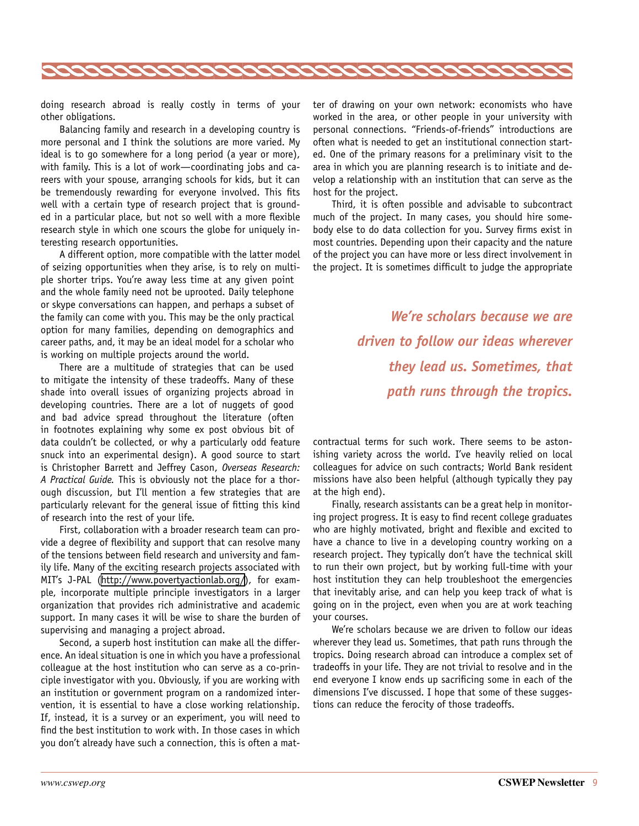

doing research abroad is really costly in terms of your other obligations.

Balancing family and research in a developing country is more personal and I think the solutions are more varied. My ideal is to go somewhere for a long period (a year or more), with family. This is a lot of work—coordinating jobs and careers with your spouse, arranging schools for kids, but it can be tremendously rewarding for everyone involved. This fits well with a certain type of research project that is grounded in a particular place, but not so well with a more flexible research style in which one scours the globe for uniquely interesting research opportunities.

A different option, more compatible with the latter model of seizing opportunities when they arise, is to rely on multiple shorter trips. You're away less time at any given point and the whole family need not be uprooted. Daily telephone or skype conversations can happen, and perhaps a subset of the family can come with you. This may be the only practical option for many families, depending on demographics and career paths, and, it may be an ideal model for a scholar who is working on multiple projects around the world.

There are a multitude of strategies that can be used to mitigate the intensity of these tradeoffs. Many of these shade into overall issues of organizing projects abroad in developing countries. There are a lot of nuggets of good and bad advice spread throughout the literature (often in footnotes explaining why some ex post obvious bit of data couldn't be collected, or why a particularly odd feature snuck into an experimental design). A good source to start is Christopher Barrett and Jeffrey Cason, *Overseas Research: A Practical Guide.* This is obviously not the place for a thorough discussion, but I'll mention a few strategies that are particularly relevant for the general issue of fitting this kind of research into the rest of your life.

First, collaboration with a broader research team can provide a degree of flexibility and support that can resolve many of the tensions between field research and university and family life. Many of the exciting research projects associated with MIT's J-PAL ([http://www.povertyactionlab.org/\)](http://www.povertyactionlab.org/), for example, incorporate multiple principle investigators in a larger organization that provides rich administrative and academic support. In many cases it will be wise to share the burden of supervising and managing a project abroad.

Second, a superb host institution can make all the difference. An ideal situation is one in which you have a professional colleague at the host institution who can serve as a co-principle investigator with you. Obviously, if you are working with an institution or government program on a randomized intervention, it is essential to have a close working relationship. If, instead, it is a survey or an experiment, you will need to find the best institution to work with. In those cases in which you don't already have such a connection, this is often a matter of drawing on your own network: economists who have worked in the area, or other people in your university with personal connections. "Friends-of-friends" introductions are often what is needed to get an institutional connection started. One of the primary reasons for a preliminary visit to the area in which you are planning research is to initiate and develop a relationship with an institution that can serve as the host for the project.

Third, it is often possible and advisable to subcontract much of the project. In many cases, you should hire somebody else to do data collection for you. Survey firms exist in most countries. Depending upon their capacity and the nature of the project you can have more or less direct involvement in the project. It is sometimes difficult to judge the appropriate

> *We're scholars because we are driven to follow our ideas wherever they lead us. Sometimes, that path runs through the tropics.*

contractual terms for such work. There seems to be astonishing variety across the world. I've heavily relied on local colleagues for advice on such contracts; World Bank resident missions have also been helpful (although typically they pay at the high end).

Finally, research assistants can be a great help in monitoring project progress. It is easy to find recent college graduates who are highly motivated, bright and flexible and excited to have a chance to live in a developing country working on a research project. They typically don't have the technical skill to run their own project, but by working full-time with your host institution they can help troubleshoot the emergencies that inevitably arise, and can help you keep track of what is going on in the project, even when you are at work teaching your courses.

We're scholars because we are driven to follow our ideas wherever they lead us. Sometimes, that path runs through the tropics. Doing research abroad can introduce a complex set of tradeoffs in your life. They are not trivial to resolve and in the end everyone I know ends up sacrificing some in each of the dimensions I've discussed. I hope that some of these suggestions can reduce the ferocity of those tradeoffs.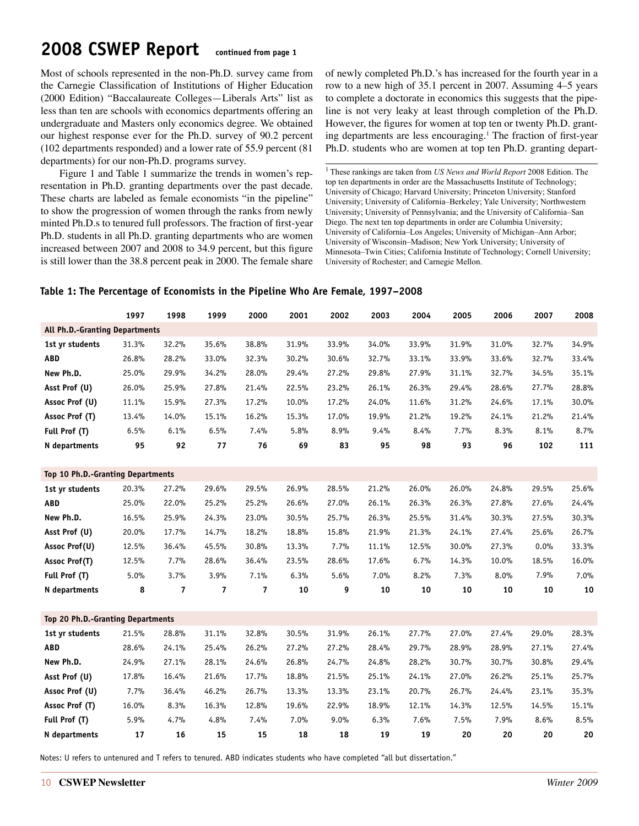# <span id="page-9-0"></span>**2008 CSWEP Report continued from page 1**

Most of schools represented in the non-Ph.D. survey came from the Carnegie Classification of Institutions of Higher Education (2000 Edition) "Baccalaureate Colleges—Liberals Arts" list as less than ten are schools with economics departments offering an undergraduate and Masters only economics degree. We obtained our highest response ever for the Ph.D. survey of 90.2 percent (102 departments responded) and a lower rate of 55.9 percent (81 departments) for our non-Ph.D. programs survey.

Figure 1 and Table 1 summarize the trends in women's representation in Ph.D. granting departments over the past decade. These charts are labeled as female economists "in the pipeline" to show the progression of women through the ranks from newly minted Ph.D.s to tenured full professors. The fraction of first-year Ph.D. students in all Ph.D. granting departments who are women increased between 2007 and 2008 to 34.9 percent, but this figure is still lower than the 38.8 percent peak in 2000. The female share of newly completed Ph.D.'s has increased for the fourth year in a row to a new high of 35.1 percent in 2007. Assuming 4–5 years to complete a doctorate in economics this suggests that the pipeline is not very leaky at least through completion of the Ph.D. However, the figures for women at top ten or twenty Ph.D. granting departments are less encouraging.<sup>1</sup> The fraction of first-year Ph.D. students who are women at top ten Ph.D. granting depart-

1 These rankings are taken from *US News and World Report* 2008 Edition. The top ten departments in order are the Massachusetts Institute of Technology; University of Chicago; Harvard University; Princeton University; Stanford University; University of California–Berkeley; Yale University; Northwestern University; University of Pennsylvania; and the University of California–San Diego. The next ten top departments in order are Columbia University; University of California–Los Angeles; University of Michigan–Ann Arbor; University of Wisconsin–Madison; New York University; University of Minnesota–Twin Cities; California Institute of Technology; Cornell University; University of Rochester; and Carnegie Mellon.

### **Table 1: The Percentage of Economists in the Pipeline Who Are Female, 1997–2008**

|                                   | 1997  | 1998                     | 1999                    | 2000                    | 2001  | 2002  | 2003  | 2004  | 2005  | 2006  | 2007  | 2008  |
|-----------------------------------|-------|--------------------------|-------------------------|-------------------------|-------|-------|-------|-------|-------|-------|-------|-------|
| All Ph.D.-Granting Departments    |       |                          |                         |                         |       |       |       |       |       |       |       |       |
| 1st yr students                   | 31.3% | 32.2%                    | 35.6%                   | 38.8%                   | 31.9% | 33.9% | 34.0% | 33.9% | 31.9% | 31.0% | 32.7% | 34.9% |
| <b>ABD</b>                        | 26.8% | 28.2%                    | 33.0%                   | 32.3%                   | 30.2% | 30.6% | 32.7% | 33.1% | 33.9% | 33.6% | 32.7% | 33.4% |
| New Ph.D.                         | 25.0% | 29.9%                    | 34.2%                   | 28.0%                   | 29.4% | 27.2% | 29.8% | 27.9% | 31.1% | 32.7% | 34.5% | 35.1% |
| Asst Prof (U)                     | 26.0% | 25.9%                    | 27.8%                   | 21.4%                   | 22.5% | 23.2% | 26.1% | 26.3% | 29.4% | 28.6% | 27.7% | 28.8% |
| Assoc Prof (U)                    | 11.1% | 15.9%                    | 27.3%                   | 17.2%                   | 10.0% | 17.2% | 24.0% | 11.6% | 31.2% | 24.6% | 17.1% | 30.0% |
| Assoc Prof (T)                    | 13.4% | 14.0%                    | 15.1%                   | 16.2%                   | 15.3% | 17.0% | 19.9% | 21.2% | 19.2% | 24.1% | 21.2% | 21.4% |
| Full Prof (T)                     | 6.5%  | 6.1%                     | 6.5%                    | 7.4%                    | 5.8%  | 8.9%  | 9.4%  | 8.4%  | 7.7%  | 8.3%  | 8.1%  | 8.7%  |
| N departments                     | 95    | 92                       | 77                      | 76                      | 69    | 83    | 95    | 98    | 93    | 96    | 102   | 111   |
|                                   |       |                          |                         |                         |       |       |       |       |       |       |       |       |
| Top 10 Ph.D.-Granting Departments |       |                          |                         |                         |       |       |       |       |       |       |       |       |
| 1st yr students                   | 20.3% | 27.2%                    | 29.6%                   | 29.5%                   | 26.9% | 28.5% | 21.2% | 26.0% | 26.0% | 24.8% | 29.5% | 25.6% |
| <b>ABD</b>                        | 25.0% | 22.0%                    | 25.2%                   | 25.2%                   | 26.6% | 27.0% | 26.1% | 26.3% | 26.3% | 27.8% | 27.6% | 24.4% |
| New Ph.D.                         | 16.5% | 25.9%                    | 24.3%                   | 23.0%                   | 30.5% | 25.7% | 26.3% | 25.5% | 31.4% | 30.3% | 27.5% | 30.3% |
| Asst Prof (U)                     | 20.0% | 17.7%                    | 14.7%                   | 18.2%                   | 18.8% | 15.8% | 21.9% | 21.3% | 24.1% | 27.4% | 25.6% | 26.7% |
| Assoc Prof(U)                     | 12.5% | 36.4%                    | 45.5%                   | 30.8%                   | 13.3% | 7.7%  | 11.1% | 12.5% | 30.0% | 27.3% | 0.0%  | 33.3% |
| Assoc Prof(T)                     | 12.5% | 7.7%                     | 28.6%                   | 36.4%                   | 23.5% | 28.6% | 17.6% | 6.7%  | 14.3% | 10.0% | 18.5% | 16.0% |
| Full Prof (T)                     | 5.0%  | 3.7%                     | 3.9%                    | 7.1%                    | 6.3%  | 5.6%  | 7.0%  | 8.2%  | 7.3%  | 8.0%  | 7.9%  | 7.0%  |
| N departments                     | 8     | $\overline{\phantom{a}}$ | $\overline{\mathbf{z}}$ | $\overline{\mathbf{z}}$ | 10    | 9     | 10    | 10    | 10    | 10    | 10    | 10    |
|                                   |       |                          |                         |                         |       |       |       |       |       |       |       |       |
| Top 20 Ph.D.-Granting Departments |       |                          |                         |                         |       |       |       |       |       |       |       |       |
| 1st yr students                   | 21.5% | 28.8%                    | 31.1%                   | 32.8%                   | 30.5% | 31.9% | 26.1% | 27.7% | 27.0% | 27.4% | 29.0% | 28.3% |
| <b>ABD</b>                        | 28.6% | 24.1%                    | 25.4%                   | 26.2%                   | 27.2% | 27.2% | 28.4% | 29.7% | 28.9% | 28.9% | 27.1% | 27.4% |
| New Ph.D.                         | 24.9% | 27.1%                    | 28.1%                   | 24.6%                   | 26.8% | 24.7% | 24.8% | 28.2% | 30.7% | 30.7% | 30.8% | 29.4% |
| Asst Prof (U)                     | 17.8% | 16.4%                    | 21.6%                   | 17.7%                   | 18.8% | 21.5% | 25.1% | 24.1% | 27.0% | 26.2% | 25.1% | 25.7% |
| Assoc Prof (U)                    | 7.7%  | 36.4%                    | 46.2%                   | 26.7%                   | 13.3% | 13.3% | 23.1% | 20.7% | 26.7% | 24.4% | 23.1% | 35.3% |
| Assoc Prof (T)                    | 16.0% | 8.3%                     | 16.3%                   | 12.8%                   | 19.6% | 22.9% | 18.9% | 12.1% | 14.3% | 12.5% | 14.5% | 15.1% |
| Full Prof (T)                     | 5.9%  | 4.7%                     | 4.8%                    | 7.4%                    | 7.0%  | 9.0%  | 6.3%  | 7.6%  | 7.5%  | 7.9%  | 8.6%  | 8.5%  |
| N departments                     | 17    | 16                       | 15                      | 15                      | 18    | 18    | 19    | 19    | 20    | 20    | 20    | 20    |

Notes: U refers to untenured and T refers to tenured. ABD indicates students who have completed "all but dissertation."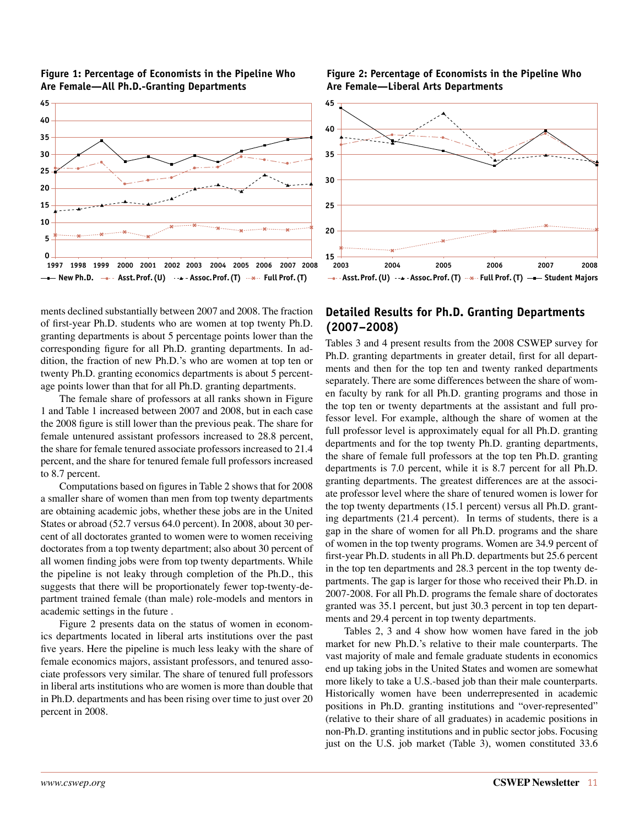

#### **Figure 1: Percentage of Economists in the Pipeline Who Are Female—All Ph.D.-Granting Departments**

ments declined substantially between 2007 and 2008. The fraction of first-year Ph.D. students who are women at top twenty Ph.D. granting departments is about 5 percentage points lower than the corresponding figure for all Ph.D. granting departments. In addition, the fraction of new Ph.D.'s who are women at top ten or twenty Ph.D. granting economics departments is about 5 percentage points lower than that for all Ph.D. granting departments.

The female share of professors at all ranks shown in Figure 1 and Table 1 increased between 2007 and 2008, but in each case the 2008 figure is still lower than the previous peak. The share for female untenured assistant professors increased to 28.8 percent, the share for female tenured associate professors increased to 21.4 percent, and the share for tenured female full professors increased to 8.7 percent.

Computations based on figures in Table 2 shows that for 2008 a smaller share of women than men from top twenty departments are obtaining academic jobs, whether these jobs are in the United States or abroad (52.7 versus 64.0 percent). In 2008, about 30 percent of all doctorates granted to women were to women receiving doctorates from a top twenty department; also about 30 percent of all women finding jobs were from top twenty departments. While the pipeline is not leaky through completion of the Ph.D., this suggests that there will be proportionately fewer top-twenty-department trained female (than male) role-models and mentors in academic settings in the future .

Figure 2 presents data on the status of women in economics departments located in liberal arts institutions over the past five years. Here the pipeline is much less leaky with the share of female economics majors, assistant professors, and tenured associate professors very similar. The share of tenured full professors in liberal arts institutions who are women is more than double that in Ph.D. departments and has been rising over time to just over 20 percent in 2008.

#### **Figure 2: Percentage of Economists in the Pipeline Who Are Female—Liberal Arts Departments**



### **Detailed Results for Ph.D. Granting Departments (2007–2008)**

Tables 3 and 4 present results from the 2008 CSWEP survey for Ph.D. granting departments in greater detail, first for all departments and then for the top ten and twenty ranked departments separately. There are some differences between the share of women faculty by rank for all Ph.D. granting programs and those in the top ten or twenty departments at the assistant and full professor level. For example, although the share of women at the full professor level is approximately equal for all Ph.D. granting departments and for the top twenty Ph.D. granting departments, the share of female full professors at the top ten Ph.D. granting departments is 7.0 percent, while it is 8.7 percent for all Ph.D. granting departments. The greatest differences are at the associate professor level where the share of tenured women is lower for the top twenty departments (15.1 percent) versus all Ph.D. granting departments (21.4 percent). In terms of students, there is a gap in the share of women for all Ph.D. programs and the share of women in the top twenty programs. Women are 34.9 percent of first-year Ph.D. students in all Ph.D. departments but 25.6 percent in the top ten departments and 28.3 percent in the top twenty departments. The gap is larger for those who received their Ph.D. in 2007-2008. For all Ph.D. programs the female share of doctorates granted was 35.1 percent, but just 30.3 percent in top ten departments and 29.4 percent in top twenty departments.

Tables 2, 3 and 4 show how women have fared in the job market for new Ph.D.'s relative to their male counterparts. The vast majority of male and female graduate students in economics end up taking jobs in the United States and women are somewhat more likely to take a U.S.-based job than their male counterparts. Historically women have been underrepresented in academic positions in Ph.D. granting institutions and "over-represented" (relative to their share of all graduates) in academic positions in non-Ph.D. granting institutions and in public sector jobs. Focusing just on the U.S. job market (Table 3), women constituted 33.6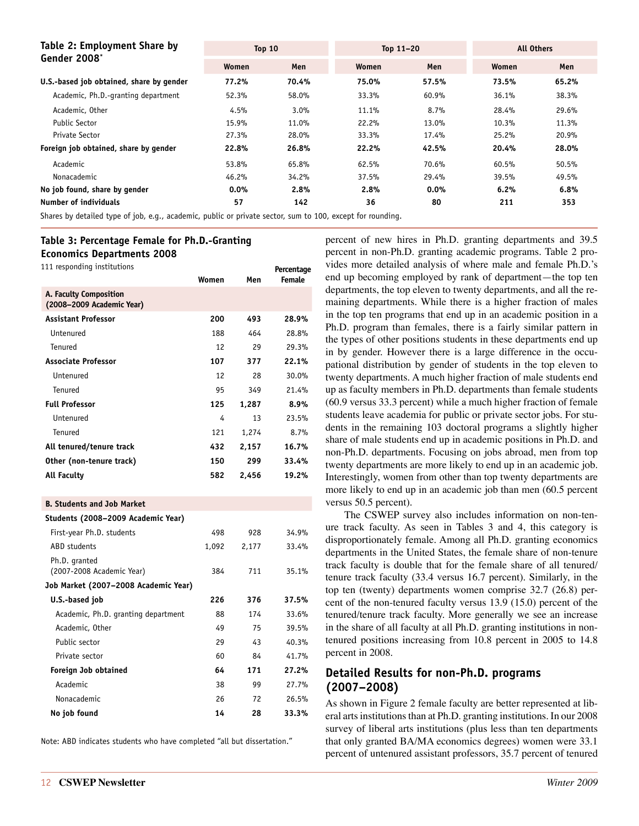| Table 2: Employment Share by                                                                       | <b>Top 10</b> |       |       | Top $11-20$ | <b>All Others</b> |       |
|----------------------------------------------------------------------------------------------------|---------------|-------|-------|-------------|-------------------|-------|
| Gender 2008*                                                                                       | Women         | Men   | Women | Men         | Women             | Men   |
| U.S.-based job obtained, share by gender                                                           | 77.2%         | 70.4% | 75.0% | 57.5%       | 73.5%             | 65.2% |
| Academic, Ph.D.-granting department                                                                | 52.3%         | 58.0% | 33.3% | 60.9%       | 36.1%             | 38.3% |
| Academic, Other                                                                                    | 4.5%          | 3.0%  | 11.1% | 8.7%        | 28.4%             | 29.6% |
| Public Sector                                                                                      | 15.9%         | 11.0% | 22.2% | 13.0%       | 10.3%             | 11.3% |
| Private Sector                                                                                     | 27.3%         | 28.0% | 33.3% | 17.4%       | 25.2%             | 20.9% |
| Foreign job obtained, share by gender                                                              | 22.8%         | 26.8% | 22.2% | 42.5%       | 20.4%             | 28.0% |
| Academic                                                                                           | 53.8%         | 65.8% | 62.5% | 70.6%       | 60.5%             | 50.5% |
| Nonacademic                                                                                        | 46.2%         | 34.2% | 37.5% | 29.4%       | 39.5%             | 49.5% |
| No job found, share by gender                                                                      | $0.0\%$       | 2.8%  | 2.8%  | 0.0%        | 6.2%              | 6.8%  |
| Number of individuals                                                                              | 57            | 142   | 36    | 80          | 211               | 353   |
| Channa bu dheallad e ma afilith a chraobhaile ann bliann an channainn ann e 100 anns ae fan mundia |               |       |       |             |                   |       |

Shares by detailed type of job, e.g., academic, public or private sector, sum to 100, except for rounding.

### **Table 3: Percentage Female for Ph.D.-Granting**

**Economics Departments 2008**

| 111 responding institutions                         | Women | Men   | Percentage<br><b>Female</b> |
|-----------------------------------------------------|-------|-------|-----------------------------|
| A. Faculty Composition<br>(2008–2009 Academic Year) |       |       |                             |
| <b>Assistant Professor</b>                          | 200   | 493   | 28.9%                       |
| <i><u><b>I</b>Intenured</u></i>                     | 188   | 464   | 28.8%                       |
| Tenured                                             | 12    | 29    | 29.3%                       |
| <b>Associate Professor</b>                          | 107   | 377   | 22.1%                       |
| Untenured                                           | 12    | 28    | 30.0%                       |
| Tenured                                             | 95    | 349   | 21.4%                       |
| <b>Full Professor</b>                               | 125   | 1,287 | 8.9%                        |
| <b>Untenured</b>                                    | 4     | 13    | 23.5%                       |
| Tenured                                             | 121   | 1,274 | 8.7%                        |
| All tenured/tenure track                            | 432   | 2,157 | 16.7%                       |
| Other (non-tenure track)                            | 150   | 299   | 33.4%                       |
| All Faculty                                         | 582   | 2,456 | 19.2%                       |
|                                                     |       |       |                             |

#### **B. Students and Job Market**

| Students (2008-2009 Academic Year)         |       |       |       |
|--------------------------------------------|-------|-------|-------|
| First-year Ph.D. students                  | 498   | 928   | 34.9% |
| <b>ABD</b> students                        | 1,092 | 2,177 | 33.4% |
| Ph.D. granted<br>(2007-2008 Academic Year) | 384   | 711   | 35.1% |
| Job Market (2007-2008 Academic Year)       |       |       |       |
| U.S.-based job                             | 226   | 376   | 37.5% |
| Academic, Ph.D. granting department        | 88    | 174   | 33.6% |
| Academic, Other                            | 49    | 75    | 39.5% |
| Public sector                              | 29    | 43    | 40.3% |
| Private sector                             | 60    | 84    | 41.7% |
| Foreign Job obtained                       | 64    | 171   | 27.2% |
| Academic                                   | 38    | 99    | 27.7% |
| Nonacademic                                | 26    | 72    | 26.5% |
| No job found                               | 14    | 28    | 33.3% |

Note: ABD indicates students who have completed "all but dissertation."

percent of new hires in Ph.D. granting departments and 39.5 percent in non-Ph.D. granting academic programs. Table 2 provides more detailed analysis of where male and female Ph.D.'s end up becoming employed by rank of department—the top ten departments, the top eleven to twenty departments, and all the remaining departments. While there is a higher fraction of males in the top ten programs that end up in an academic position in a Ph.D. program than females, there is a fairly similar pattern in the types of other positions students in these departments end up in by gender. However there is a large difference in the occupational distribution by gender of students in the top eleven to twenty departments. A much higher fraction of male students end up as faculty members in Ph.D. departments than female students (60.9 versus 33.3 percent) while a much higher fraction of female students leave academia for public or private sector jobs. For students in the remaining 103 doctoral programs a slightly higher share of male students end up in academic positions in Ph.D. and non-Ph.D. departments. Focusing on jobs abroad, men from top twenty departments are more likely to end up in an academic job. Interestingly, women from other than top twenty departments are more likely to end up in an academic job than men (60.5 percent versus 50.5 percent).

The CSWEP survey also includes information on non-tenure track faculty. As seen in Tables 3 and 4, this category is disproportionately female. Among all Ph.D. granting economics departments in the United States, the female share of non-tenure track faculty is double that for the female share of all tenured/ tenure track faculty (33.4 versus 16.7 percent). Similarly, in the top ten (twenty) departments women comprise 32.7 (26.8) percent of the non-tenured faculty versus 13.9 (15.0) percent of the tenured/tenure track faculty. More generally we see an increase in the share of all faculty at all Ph.D. granting institutions in nontenured positions increasing from 10.8 percent in 2005 to 14.8 percent in 2008.

### **Detailed Results for non-Ph.D. programs (2007–2008)**

As shown in Figure 2 female faculty are better represented at liberal arts institutions than at Ph.D. granting institutions. In our 2008 survey of liberal arts institutions (plus less than ten departments that only granted BA/MA economics degrees) women were 33.1 percent of untenured assistant professors, 35.7 percent of tenured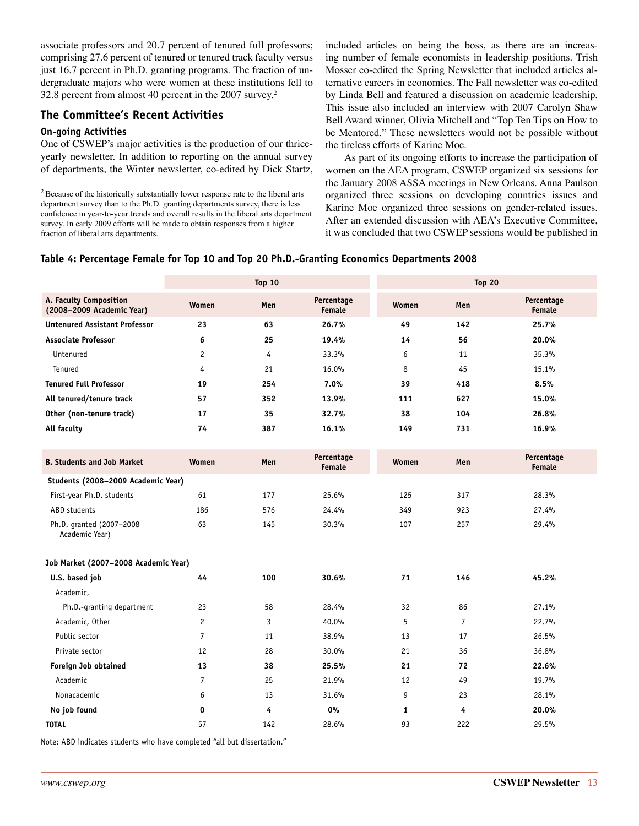associate professors and 20.7 percent of tenured full professors; comprising 27.6 percent of tenured or tenured track faculty versus just 16.7 percent in Ph.D. granting programs. The fraction of undergraduate majors who were women at these institutions fell to 32.8 percent from almost 40 percent in the 2007 survey.2

### **The Committee's Recent Activities**

#### **On-going Activities**

One of CSWEP's major activities is the production of our thriceyearly newsletter. In addition to reporting on the annual survey of departments, the Winter newsletter, co-edited by Dick Startz,

2 Because of the historically substantially lower response rate to the liberal arts department survey than to the Ph.D. granting departments survey, there is less confidence in year-to-year trends and overall results in the liberal arts department survey. In early 2009 efforts will be made to obtain responses from a higher fraction of liberal arts departments.

included articles on being the boss, as there are an increasing number of female economists in leadership positions. Trish Mosser co-edited the Spring Newsletter that included articles alternative careers in economics. The Fall newsletter was co-edited by Linda Bell and featured a discussion on academic leadership. This issue also included an interview with 2007 Carolyn Shaw Bell Award winner, Olivia Mitchell and "Top Ten Tips on How to be Mentored." These newsletters would not be possible without the tireless efforts of Karine Moe.

As part of its ongoing efforts to increase the participation of women on the AEA program, CSWEP organized six sessions for the January 2008 ASSA meetings in New Orleans. Anna Paulson organized three sessions on developing countries issues and Karine Moe organized three sessions on gender-related issues. After an extended discussion with AEA's Executive Committee, it was concluded that two CSWEP sessions would be published in

#### **Table 4: Percentage Female for Top 10 and Top 20 Ph.D.-Granting Economics Departments 2008**

|                                                     | <b>Top 10</b>                      |     | <b>Top 20</b>               |              |                |                             |  |  |  |  |
|-----------------------------------------------------|------------------------------------|-----|-----------------------------|--------------|----------------|-----------------------------|--|--|--|--|
| A. Faculty Composition<br>(2008-2009 Academic Year) | Women                              | Men | Percentage<br><b>Female</b> | Women        | Men            | Percentage<br><b>Female</b> |  |  |  |  |
| <b>Untenured Assistant Professor</b>                | 23                                 | 63  | 26.7%                       | 49           | 142            | 25.7%                       |  |  |  |  |
| <b>Associate Professor</b>                          | 6                                  | 25  | 19.4%                       | 14           | 56             | 20.0%                       |  |  |  |  |
| Untenured                                           | $\overline{c}$                     | 4   | 33.3%                       | 6            | 11             | 35.3%                       |  |  |  |  |
| Tenured                                             | 4                                  | 21  | 16.0%                       | 8            | 45             | 15.1%                       |  |  |  |  |
| <b>Tenured Full Professor</b>                       | 19                                 | 254 | 7.0%                        | 39           | 418            | 8.5%                        |  |  |  |  |
| All tenured/tenure track                            | 57                                 | 352 | 13.9%                       | 111          | 627            | 15.0%                       |  |  |  |  |
| Other (non-tenure track)                            | 17                                 | 35  | 32.7%                       | 38           | 104            | 26.8%                       |  |  |  |  |
| All faculty                                         | 74                                 | 387 | 16.1%                       | 149          | 731            | 16.9%                       |  |  |  |  |
|                                                     |                                    |     |                             |              |                |                             |  |  |  |  |
| <b>B. Students and Job Market</b>                   | Women                              | Men | Percentage<br>Female        | Women        | Men            | Percentage<br>Female        |  |  |  |  |
|                                                     | Students (2008-2009 Academic Year) |     |                             |              |                |                             |  |  |  |  |
| First-year Ph.D. students                           | 61                                 | 177 | 25.6%                       | 125          | 317            | 28.3%                       |  |  |  |  |
| ABD students                                        | 186                                | 576 | 24.4%                       | 349          | 923            | 27.4%                       |  |  |  |  |
| Ph.D. granted (2007-2008<br>Academic Year)          | 63                                 | 145 | 30.3%                       | 107          | 257            | 29.4%                       |  |  |  |  |
| Job Market (2007-2008 Academic Year)                |                                    |     |                             |              |                |                             |  |  |  |  |
| U.S. based job                                      | 44                                 | 100 | 30.6%                       | 71           | 146            | 45.2%                       |  |  |  |  |
| Academic,                                           |                                    |     |                             |              |                |                             |  |  |  |  |
| Ph.D.-granting department                           | 23                                 | 58  | 28.4%                       | 32           | 86             | 27.1%                       |  |  |  |  |
| Academic, Other                                     | $\overline{c}$                     | 3   | 40.0%                       | 5            | $\overline{7}$ | 22.7%                       |  |  |  |  |
| Public sector                                       | $\overline{7}$                     | 11  | 38.9%                       | 13           | 17             | 26.5%                       |  |  |  |  |
| Private sector                                      | 12                                 | 28  | 30.0%                       | 21           | 36             | 36.8%                       |  |  |  |  |
| Foreign Job obtained                                | 13                                 | 38  | 25.5%                       | 21           | 72             | 22.6%                       |  |  |  |  |
| Academic                                            | $\overline{7}$                     | 25  | 21.9%                       | 12           | 49             | 19.7%                       |  |  |  |  |
| Nonacademic                                         | 6                                  | 13  | 31.6%                       | 9            | 23             | 28.1%                       |  |  |  |  |
| No job found                                        | 0                                  | 4   | 0%                          | $\mathbf{1}$ | 4              | 20.0%                       |  |  |  |  |
| <b>TOTAL</b>                                        | 57                                 | 142 | 28.6%                       | 93           | 222            | 29.5%                       |  |  |  |  |

Note: ABD indicates students who have completed "all but dissertation."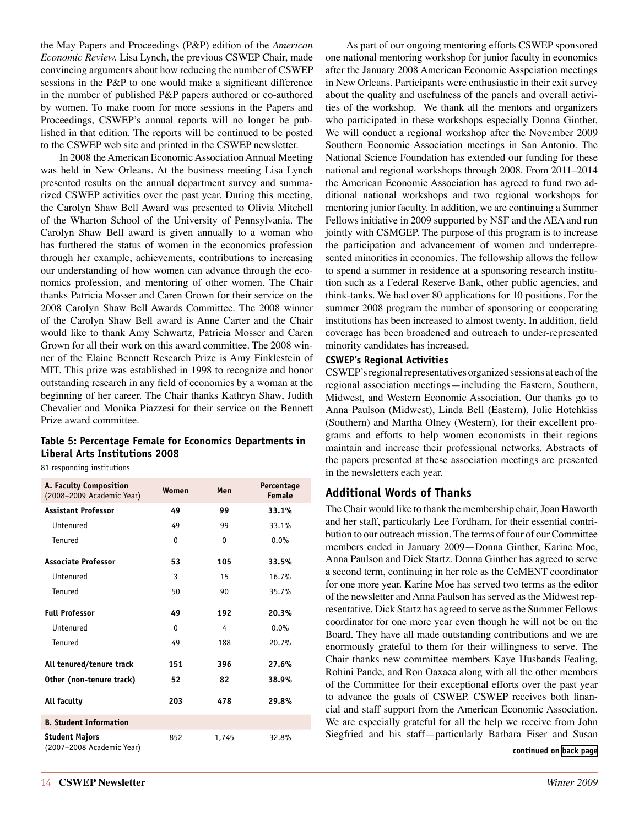the May Papers and Proceedings (P&P) edition of the *American Economic Review.* Lisa Lynch, the previous CSWEP Chair, made convincing arguments about how reducing the number of CSWEP sessions in the P&P to one would make a significant difference in the number of published P&P papers authored or co-authored by women. To make room for more sessions in the Papers and Proceedings, CSWEP's annual reports will no longer be published in that edition. The reports will be continued to be posted to the CSWEP web site and printed in the CSWEP newsletter.

In 2008 the American Economic Association Annual Meeting was held in New Orleans. At the business meeting Lisa Lynch presented results on the annual department survey and summarized CSWEP activities over the past year. During this meeting, the Carolyn Shaw Bell Award was presented to Olivia Mitchell of the Wharton School of the University of Pennsylvania. The Carolyn Shaw Bell award is given annually to a woman who has furthered the status of women in the economics profession through her example, achievements, contributions to increasing our understanding of how women can advance through the economics profession, and mentoring of other women. The Chair thanks Patricia Mosser and Caren Grown for their service on the 2008 Carolyn Shaw Bell Awards Committee. The 2008 winner of the Carolyn Shaw Bell award is Anne Carter and the Chair would like to thank Amy Schwartz, Patricia Mosser and Caren Grown for all their work on this award committee. The 2008 winner of the Elaine Bennett Research Prize is Amy Finklestein of MIT. This prize was established in 1998 to recognize and honor outstanding research in any field of economics by a woman at the beginning of her career. The Chair thanks Kathryn Shaw, Judith Chevalier and Monika Piazzesi for their service on the Bennett Prize award committee.

#### **Table 5: Percentage Female for Economics Departments in Liberal Arts Institutions 2008**

81 responding institutions

| A. Faculty Composition<br>(2008-2009 Academic Year) | Women        | Men   | Percentage<br>Female |
|-----------------------------------------------------|--------------|-------|----------------------|
| <b>Assistant Professor</b>                          | 49           | 99    | 33.1%                |
| <b>Untenured</b>                                    | 49           | 99    | 33.1%                |
| Tenured                                             | $\mathbf{0}$ | 0     | 0.0%                 |
| <b>Associate Professor</b>                          | 53           | 105   | 33.5%                |
| Untenured                                           | 3            | 15    | 16.7%                |
| Tenured                                             | 50           | 90    | 35.7%                |
| <b>Full Professor</b>                               | 49           | 192   | 20.3%                |
| <b>Untenured</b>                                    | $\Omega$     | 4     | 0.0%                 |
| Tenured                                             | 49           | 188   | 20.7%                |
| All tenured/tenure track                            | 151          | 396   | 27.6%                |
| Other (non-tenure track)                            | 52           | 82    | 38.9%                |
| All faculty                                         | 203          | 478   | 29.8%                |
| <b>B. Student Information</b>                       |              |       |                      |
| <b>Student Majors</b><br>(2007-2008 Academic Year)  | 852          | 1.745 | 32.8%                |

 As part of our ongoing mentoring efforts CSWEP sponsored one national mentoring workshop for junior faculty in economics after the January 2008 American Economic Asspciation meetings in New Orleans. Participants were enthusiastic in their exit survey about the quality and usefulness of the panels and overall activities of the workshop. We thank all the mentors and organizers who participated in these workshops especially Donna Ginther. We will conduct a regional workshop after the November 2009 Southern Economic Association meetings in San Antonio. The National Science Foundation has extended our funding for these national and regional workshops through 2008. From 2011–2014 the American Economic Association has agreed to fund two additional national workshops and two regional workshops for mentoring junior faculty. In addition, we are continuing a Summer Fellows initiative in 2009 supported by NSF and the AEA and run jointly with CSMGEP. The purpose of this program is to increase the participation and advancement of women and underrepresented minorities in economics. The fellowship allows the fellow to spend a summer in residence at a sponsoring research institution such as a Federal Reserve Bank, other public agencies, and think-tanks. We had over 80 applications for 10 positions. For the summer 2008 program the number of sponsoring or cooperating institutions has been increased to almost twenty. In addition, field coverage has been broadened and outreach to under-represented minority candidates has increased.

#### **CSWEP's Regional Activities**

CSWEP's regional representatives organized sessions at each of the regional association meetings—including the Eastern, Southern, Midwest, and Western Economic Association. Our thanks go to Anna Paulson (Midwest), Linda Bell (Eastern), Julie Hotchkiss (Southern) and Martha Olney (Western), for their excellent programs and efforts to help women economists in their regions maintain and increase their professional networks. Abstracts of the papers presented at these association meetings are presented in the newsletters each year.

### **Additional Words of Thanks**

The Chair would like to thank the membership chair, Joan Haworth and her staff, particularly Lee Fordham, for their essential contribution to our outreach mission. The terms of four of our Committee members ended in January 2009—Donna Ginther, Karine Moe, Anna Paulson and Dick Startz. Donna Ginther has agreed to serve a second term, continuing in her role as the CeMENT coordinator for one more year. Karine Moe has served two terms as the editor of the newsletter and Anna Paulson has served as the Midwest representative. Dick Startz has agreed to serve as the Summer Fellows coordinator for one more year even though he will not be on the Board. They have all made outstanding contributions and we are enormously grateful to them for their willingness to serve. The Chair thanks new committee members Kaye Husbands Fealing, Rohini Pande, and Ron Oaxaca along with all the other members of the Committee for their exceptional efforts over the past year to advance the goals of CSWEP. CSWEP receives both financial and staff support from the American Economic Association. We are especially grateful for all the help we receive from John Siegfried and his staff—particularly Barbara Fiser and Susan

#### **continued on [back page](#page-19-0)**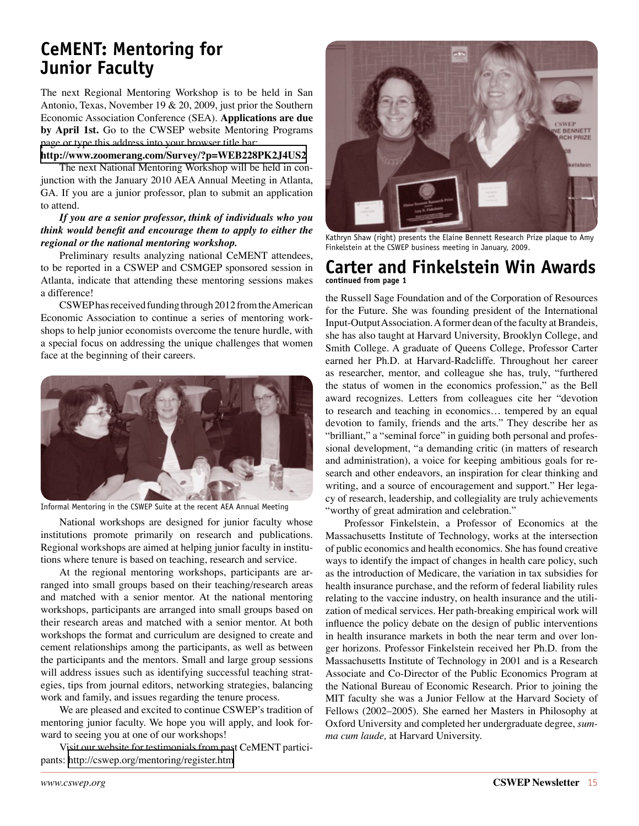# <span id="page-14-0"></span>**CeMENT: Mentoring for Junior Faculty**

The next Regional Mentoring Workshop is to be held in San Antonio, Texas, November 19 & 20, 2009, just prior the Southern Economic Association Conference (SEA). **Applications are due by April 1st.** Go to the CWSEP website Mentoring Programs page or type this address into your browser title bar:

#### **<http://www.zoomerang.com/Survey/?p=WEB228PK2J4US2>**

The next National Mentoring Workshop will be held in conjunction with the January 2010 AEA Annual Meeting in Atlanta, GA. If you are a junior professor, plan to submit an application to attend.

#### *If you are a senior professor, think of individuals who you think would benefit and encourage them to apply to either the regional or the national mentoring workshop.*

Preliminary results analyzing national CeMENT attendees, to be reported in a CSWEP and CSMGEP sponsored session in Atlanta, indicate that attending these mentoring sessions makes a difference!

CSWEP has received funding through 2012 from the American Economic Association to continue a series of mentoring workshops to help junior economists overcome the tenure hurdle, with a special focus on addressing the unique challenges that women face at the beginning of their careers.



Informal Mentoring in the CSWEP Suite at the recent AEA Annual Meeting

National workshops are designed for junior faculty whose institutions promote primarily on research and publications. Regional workshops are aimed at helping junior faculty in institutions where tenure is based on teaching, research and service.

At the regional mentoring workshops, participants are arranged into small groups based on their teaching/research areas and matched with a senior mentor. At the national mentoring workshops, participants are arranged into small groups based on their research areas and matched with a senior mentor. At both workshops the format and curriculum are designed to create and cement relationships among the participants, as well as between the participants and the mentors. Small and large group sessions will address issues such as identifying successful teaching strategies, tips from journal editors, networking strategies, balancing work and family, and issues regarding the tenure process.

We are pleased and excited to continue CSWEP's tradition of mentoring junior faculty. We hope you will apply, and look forward to seeing you at one of our workshops!

Visit our website for testimonials from past CeMENT participants:<http://cswep.org/mentoring/register.htm>



Kathryn Shaw (right) presents the Elaine Bennett Research Prize plaque to Amy Finkelstein at the CSWEP business meeting in January, 2009.

### <span id="page-14-1"></span>**Carter and Finkelstein Win Awards continued from page 1**

the Russell Sage Foundation and of the Corporation of Resources for the Future. She was founding president of the International Input-Output Association. A former dean of the faculty at Brandeis, she has also taught at Harvard University, Brooklyn College, and Smith College. A graduate of Queens College, Professor Carter earned her Ph.D. at Harvard-Radcliffe. Throughout her career as researcher, mentor, and colleague she has, truly, "furthered the status of women in the economics profession," as the Bell award recognizes. Letters from colleagues cite her "devotion to research and teaching in economics… tempered by an equal devotion to family, friends and the arts." They describe her as "brilliant," a "seminal force" in guiding both personal and professional development, "a demanding critic (in matters of research and administration), a voice for keeping ambitious goals for research and other endeavors, an inspiration for clear thinking and writing, and a source of encouragement and support." Her legacy of research, leadership, and collegiality are truly achievements "worthy of great admiration and celebration."

Professor Finkelstein, a Professor of Economics at the Massachusetts Institute of Technology, works at the intersection of public economics and health economics. She has found creative ways to identify the impact of changes in health care policy, such as the introduction of Medicare, the variation in tax subsidies for health insurance purchase, and the reform of federal liability rules relating to the vaccine industry, on health insurance and the utilization of medical services. Her path-breaking empirical work will influence the policy debate on the design of public interventions in health insurance markets in both the near term and over longer horizons. Professor Finkelstein received her Ph.D. from the Massachusetts Institute of Technology in 2001 and is a Research Associate and Co-Director of the Public Economics Program at the National Bureau of Economic Research. Prior to joining the MIT faculty she was a Junior Fellow at the Harvard Society of Fellows (2002–2005). She earned her Masters in Philosophy at Oxford University and completed her undergraduate degree, *summa cum laude,* at Harvard University.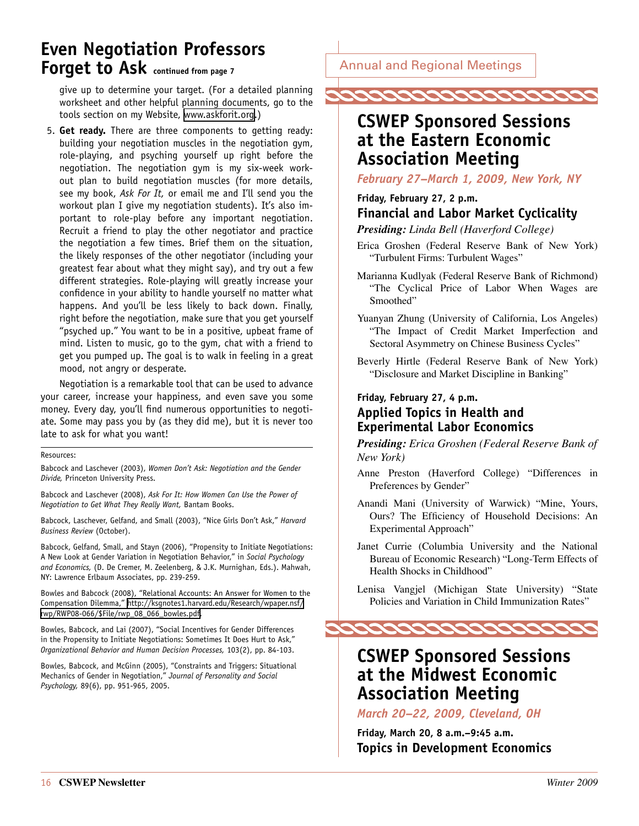# <span id="page-15-1"></span><span id="page-15-0"></span>**Even Negotiation Professors Forget to Ask continued from page 7**

give up to determine your target. (For a detailed planning worksheet and other helpful planning documents, go to the tools section on my Website, [www.askforit.org.](http://www.askforit.org/))

5. **Get ready.** There are three components to getting ready: building your negotiation muscles in the negotiation gym, role-playing, and psyching yourself up right before the negotiation. The negotiation gym is my six-week workout plan to build negotiation muscles (for more details, see my book, *Ask For It,* or email me and I'll send you the workout plan I give my negotiation students). It's also important to role-play before any important negotiation. Recruit a friend to play the other negotiator and practice the negotiation a few times. Brief them on the situation, the likely responses of the other negotiator (including your greatest fear about what they might say), and try out a few different strategies. Role-playing will greatly increase your confidence in your ability to handle yourself no matter what happens. And you'll be less likely to back down. Finally, right before the negotiation, make sure that you get yourself "psyched up." You want to be in a positive, upbeat frame of mind. Listen to music, go to the gym, chat with a friend to get you pumped up. The goal is to walk in feeling in a great mood, not angry or desperate.

Negotiation is a remarkable tool that can be used to advance your career, increase your happiness, and even save you some money. Every day, you'll find numerous opportunities to negotiate. Some may pass you by (as they did me), but it is never too late to ask for what you want!

#### Resources:

Babcock and Laschever (2003), *Women Don't Ask: Negotiation and the Gender Divide,* Princeton University Press.

Babcock and Laschever (2008), *Ask For It: How Women Can Use the Power of Negotiation to Get What They Really Want,* Bantam Books.

Babcock, Laschever, Gelfand, and Small (2003), "Nice Girls Don't Ask," *Harvard Business Review* (October).

Babcock, Gelfand, Small, and Stayn (2006), "Propensity to Initiate Negotiations: A New Look at Gender Variation in Negotiation Behavior," in *Social Psychology and Economics,* (D. De Cremer, M. Zeelenberg, & J.K. Murnighan, Eds.). Mahwah, NY: Lawrence Erlbaum Associates, pp. 239-259.

Bowles and Babcock (2008), "Relational Accounts: An Answer for Women to the Compensation Dilemma," [http://ksgnotes1.harvard.edu/Research/wpaper.nsf/](http://ksgnotes1.harvard.edu/Research/wpaper.nsf/rwp/RWP08-066/$File/rwp_08_066_bowles.pdf) [rwp/RWP08-066/\\$File/rwp\\_08\\_066\\_bowles.pdf](http://ksgnotes1.harvard.edu/Research/wpaper.nsf/rwp/RWP08-066/$File/rwp_08_066_bowles.pdf).

Bowles, Babcock, and Lai (2007), "Social Incentives for Gender Differences in the Propensity to Initiate Negotiations: Sometimes It Does Hurt to Ask," *Organizational Behavior and Human Decision Processes,* 103(2), pp. 84-103.

Bowles, Babcock, and McGinn (2005), "Constraints and Triggers: Situational Mechanics of Gender in Negotiation," *Journal of Personality and Social Psychology,* 89(6), pp. 951-965, 2005.

Annual and Regional Meetings



## **CSWEP Sponsored Sessions at the Eastern Economic Association Meeting**

*February 27–March 1, 2009, New York, NY*

### **Friday, February 27, 2 p.m.**

### **Financial and Labor Market Cyclicality**

*Presiding: Linda Bell (Haverford College)*

- Erica Groshen (Federal Reserve Bank of New York) "Turbulent Firms: Turbulent Wages"
- Marianna Kudlyak (Federal Reserve Bank of Richmond) "The Cyclical Price of Labor When Wages are Smoothed"
- Yuanyan Zhung (University of California, Los Angeles) "The Impact of Credit Market Imperfection and Sectoral Asymmetry on Chinese Business Cycles"
- Beverly Hirtle (Federal Reserve Bank of New York) "Disclosure and Market Discipline in Banking"

### **Friday, February 27, 4 p.m. Applied Topics in Health and Experimental Labor Economics**

*Presiding: Erica Groshen (Federal Reserve Bank of New York)*

- Anne Preston (Haverford College) "Differences in Preferences by Gender"
- Anandi Mani (University of Warwick) "Mine, Yours, Ours? The Efficiency of Household Decisions: An Experimental Approach"
- Janet Currie (Columbia University and the National Bureau of Economic Research) "Long-Term Effects of Health Shocks in Childhood"
- Lenisa Vangjel (Michigan State University) "State Policies and Variation in Child Immunization Rates"

2000000000

# **CSWEP Sponsored Sessions at the Midwest Economic Association Meeting**

*March 20–22, 2009, Cleveland, OH*

**Friday, March 20, 8 a.m.–9:45 a.m. Topics in Development Economics**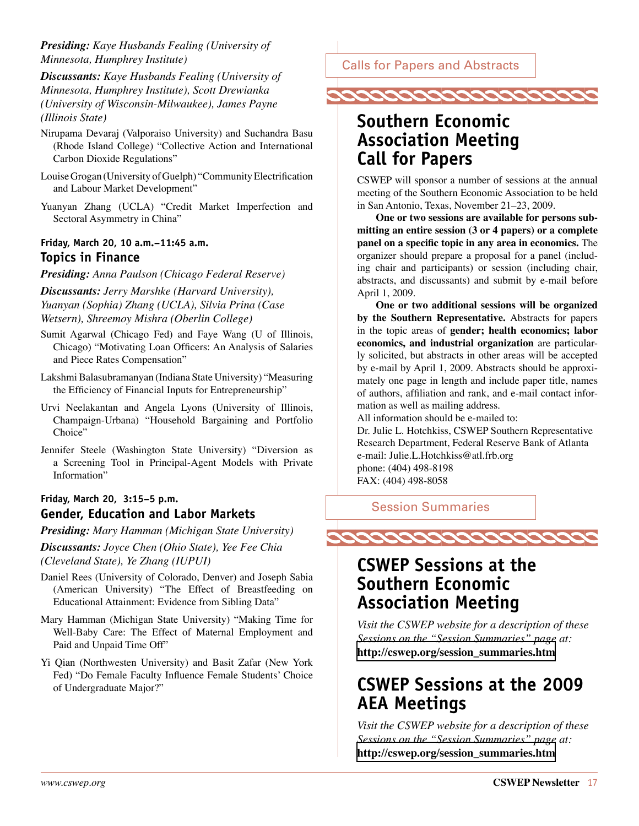<span id="page-16-0"></span>*Presiding: Kaye Husbands Fealing (University of Minnesota, Humphrey Institute)*

*Discussants: Kaye Husbands Fealing (University of Minnesota, Humphrey Institute), Scott Drewianka (University of Wisconsin-Milwaukee), James Payne (Illinois State)*

- Nirupama Devaraj (Valporaiso University) and Suchandra Basu (Rhode Island College) "Collective Action and International Carbon Dioxide Regulations"
- Louise Grogan (University of Guelph) "Community Electrification and Labour Market Development"
- Yuanyan Zhang (UCLA) "Credit Market Imperfection and Sectoral Asymmetry in China"

### **Friday, March 20, 10 a.m.–11:45 a.m. Topics in Finance**

*Presiding: Anna Paulson (Chicago Federal Reserve)*

*Discussants: Jerry Marshke (Harvard University), Yuanyan (Sophia) Zhang (UCLA), Silvia Prina (Case Wetsern), Shreemoy Mishra (Oberlin College)*

- Sumit Agarwal (Chicago Fed) and Faye Wang (U of Illinois, Chicago) "Motivating Loan Officers: An Analysis of Salaries and Piece Rates Compensation"
- Lakshmi Balasubramanyan (Indiana State University) "Measuring the Efficiency of Financial Inputs for Entrepreneurship"
- Urvi Neelakantan and Angela Lyons (University of Illinois, Champaign-Urbana) "Household Bargaining and Portfolio Choice"

Jennifer Steele (Washington State University) "Diversion as a Screening Tool in Principal-Agent Models with Private Information"

### **Friday, March 20, 3:15–5 p.m. Gender, Education and Labor Markets**

*Presiding: Mary Hamman (Michigan State University)*

*Discussants: Joyce Chen (Ohio State), Yee Fee Chia (Cleveland State), Ye Zhang (IUPUI)*

- Daniel Rees (University of Colorado, Denver) and Joseph Sabia (American University) "The Effect of Breastfeeding on Educational Attainment: Evidence from Sibling Data"
- Mary Hamman (Michigan State University) "Making Time for Well-Baby Care: The Effect of Maternal Employment and Paid and Unpaid Time Off"
- Yi Qian (Northwesten University) and Basit Zafar (New York Fed) "Do Female Faculty Influence Female Students' Choice of Undergraduate Major?"

Calls for Papers and Abstracts



# **Southern Economic Association Meeting Call for Papers**

CSWEP will sponsor a number of sessions at the annual meeting of the Southern Economic Association to be held in San Antonio, Texas, November 21–23, 2009.

**One or two sessions are available for persons submitting an entire session (3 or 4 papers) or a complete panel on a specific topic in any area in economics.** The organizer should prepare a proposal for a panel (including chair and participants) or session (including chair, abstracts, and discussants) and submit by e-mail before April 1, 2009.

**One or two additional sessions will be organized by the Southern Representative.** Abstracts for papers in the topic areas of **gender; health economics; labor economics, and industrial organization** are particularly solicited, but abstracts in other areas will be accepted by e-mail by April 1, 2009. Abstracts should be approximately one page in length and include paper title, names of authors, affiliation and rank, and e-mail contact information as well as mailing address.

All information should be e-mailed to:

Dr. Julie L. Hotchkiss, CSWEP Southern Representative Research Department, Federal Reserve Bank of Atlanta e-mail: Julie.L.Hotchkiss@atl.frb.org phone: (404) 498-8198 FAX: (404) 498-8058

Session Summaries



# **CSWEP Sessions at the Southern Economic Association Meeting**

*Visit the CSWEP website for a description of these Sessions on the "Session Summaries" page at:*  **[http://cswep.org/session\\_summaries.htm](http://cswep.org/session_summaries.htm)** 

# **CSWEP Sessions at the 2009 AEA Meetings**

*Visit the CSWEP website for a description of these Sessions on the "Session Summaries" page at:*  **[http://cswep.org/session\\_summaries.htm](http://cswep.org/session_summaries.htm)**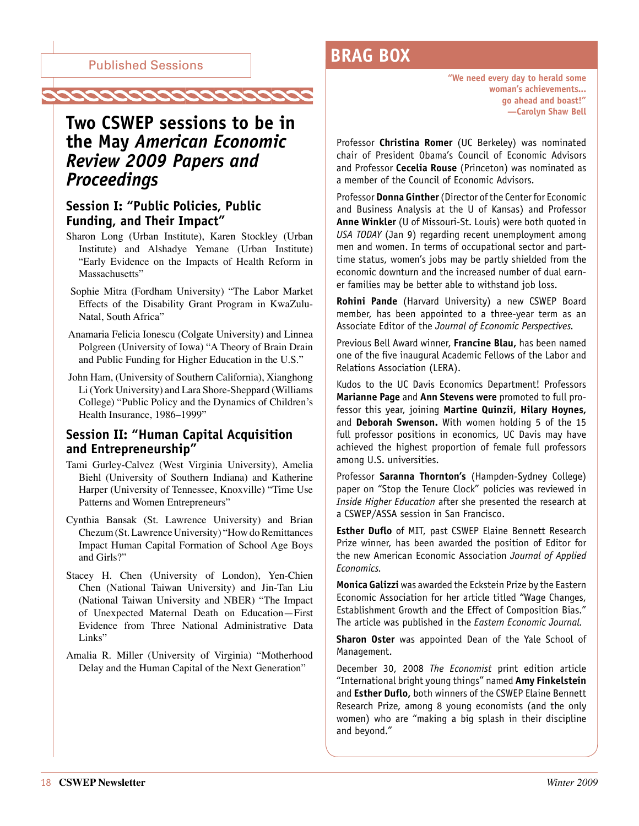<span id="page-17-0"></span>

# **Two CSWEP sessions to be in the May** *American Economic Review 2009 Papers and Proceedings*

### **Session I: "Public Policies, Public Funding, and Their Impact"**

- Sharon Long (Urban Institute), Karen Stockley (Urban Institute) and Alshadye Yemane (Urban Institute) "Early Evidence on the Impacts of Health Reform in Massachusetts"
- Sophie Mitra (Fordham University) "The Labor Market Effects of the Disability Grant Program in KwaZulu-Natal, South Africa"
- Anamaria Felicia Ionescu (Colgate University) and Linnea Polgreen (University of Iowa) "A Theory of Brain Drain and Public Funding for Higher Education in the U.S."
- John Ham, (University of Southern California), Xianghong Li (York University) and Lara Shore-Sheppard (Williams College) "Public Policy and the Dynamics of Children's Health Insurance, 1986–1999"

### **Session II: "Human Capital Acquisition and Entrepreneurship"**

- Tami Gurley-Calvez (West Virginia University), Amelia Biehl (University of Southern Indiana) and Katherine Harper (University of Tennessee, Knoxville) "Time Use Patterns and Women Entrepreneurs"
- Cynthia Bansak (St. Lawrence University) and Brian Chezum (St. Lawrence University) "How do Remittances Impact Human Capital Formation of School Age Boys and Girls?"
- Stacey H. Chen (University of London), Yen-Chien Chen (National Taiwan University) and Jin-Tan Liu (National Taiwan University and NBER) "The Impact of Unexpected Maternal Death on Education—First Evidence from Three National Administrative Data Links"
- Amalia R. Miller (University of Virginia) "Motherhood Delay and the Human Capital of the Next Generation"

# **BRAG BOX**

**"We need every day to herald some woman's achievements... go ahead and boast!" —Carolyn Shaw Bell**

Professor **Christina Romer** (UC Berkeley) was nominated chair of President Obama's Council of Economic Advisors and Professor **Cecelia Rouse** (Princeton) was nominated as a member of the Council of Economic Advisors.

Professor **Donna Ginther** (Director of the Center for Economic and Business Analysis at the U of Kansas) and Professor **Anne Winkler** (U of Missouri-St. Louis) were both quoted in *USA TODAY* (Jan 9) regarding recent unemployment among men and women. In terms of occupational sector and parttime status, women's jobs may be partly shielded from the economic downturn and the increased number of dual earner families may be better able to withstand job loss.

**Rohini Pande** (Harvard University) a new CSWEP Board member, has been appointed to a three-year term as an Associate Editor of the *Journal of Economic Perspectives.* 

Previous Bell Award winner, **Francine Blau,** has been named one of the five inaugural Academic Fellows of the Labor and Relations Association (LERA).

Kudos to the UC Davis Economics Department! Professors **Marianne Page** and **Ann Stevens were** promoted to full professor this year, joining **Martine Quinzii, Hilary Hoynes,** and **Deborah Swenson.** With women holding 5 of the 15 full professor positions in economics, UC Davis may have achieved the highest proportion of female full professors among U.S. universities.

Professor **Saranna Thornton's** (Hampden-Sydney College) paper on "Stop the Tenure Clock" policies was reviewed in *Inside Higher Education* after she presented the research at a CSWEP/ASSA session in San Francisco.

**Esther Duflo** of MIT, past CSWEP Elaine Bennett Research Prize winner, has been awarded the position of Editor for the new American Economic Association *Journal of Applied Economics.*

**Monica Galizzi** was awarded the Eckstein Prize by the Eastern Economic Association for her article titled "Wage Changes, Establishment Growth and the Effect of Composition Bias." The article was published in the *Eastern Economic Journal.*

**Sharon Oster** was appointed Dean of the Yale School of Management.

December 30, 2008 *The Economist* print edition article "International bright young things" named **Amy Finkelstein** and **Esther Duflo,** both winners of the CSWEP Elaine Bennett Research Prize, among 8 young economists (and the only women) who are "making a big splash in their discipline and beyond."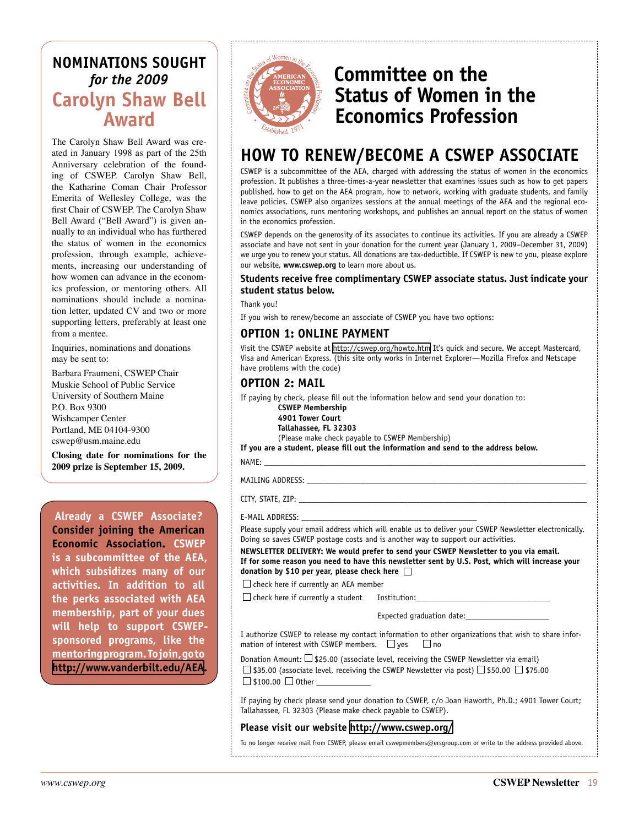# <span id="page-18-0"></span>**Nominations Sought** *for the 2009*  **Carolyn Shaw Bell Awar**

The Carolyn Shaw Bell Award was created in January 1998 as part of the 25th Anniversary celebration of the founding of CSWEP. Carolyn Shaw Bell, the Katharine Coman Chair Professor Emerita of Wellesley College, was the first Chair of CSWEP. The Carolyn Shaw Bell Award ("Bell Award") is given annually to an individual who has furthered the status of women in the economics profession, through example, achievements, increasing our understanding of how women can advance in the economics profession, or mentoring others. All nominations should include a nomination letter, updated CV and two or more supporting letters, preferably at least one from a mentee.

Inquiries, nominations and donations may be sent to:

Barbara Fraumeni, CSWEP Chair Muskie School of Public Service University of Southern Maine P.O. Box 9300 Wishcamper Center Portland, ME 04104-9300 cswep@usm.maine.edu

**Closing date for nominations for the 2009 prize is September 15, 2009.**

**Already a CSWEP Associate? Consider joining the American Economic Association. CSWEP is a subcommittee of the AEA, which subsidizes many of our activities. In addition to all the perks associated with AEA membership, part of your dues will help to support CSWEPsponsored programs, like the mentoring program. To join, go to <http://www.vanderbilt.edu/AEA>.**



# **Committee on the Status of Women in the Economics Profession**

# **HOW TO RENEW/BECOME A CSWEP ASSOCIATE**

CSWEP is a subcommittee of the AEA, charged with addressing the status of women in the economics profession. It publishes a three-times-a-year newsletter that examines issues such as how to get papers published, how to get on the AEA program, how to network, working with graduate students, and family leave policies. CSWEP also organizes sessions at the annual meetings of the AEA and the regional economics associations, runs mentoring workshops, and publishes an annual report on the status of women in the economics profession.

CSWEP depends on the generosity of its associates to continue its activities. If you are already a CSWEP associate and have not sent in your donation for the current year (January 1, 2009–December 31, 2009) we urge you to renew your status. All donations are tax-deductible. If CSWEP is new to you, please explore our website, **www.cswep.org** to learn more about us.

#### **Students receive free complimentary CSWEP associate status. Just indicate your student status below.**

Thank you!

If you wish to renew/become an associate of CSWEP you have two options:

### **OPTION 1: ONLINE PAYMENT**

Visit the CSWEP website at<http://cswep.org/howto.htm> It's quick and secure. We accept Mastercard, Visa and American Express. (this site only works in Internet Explorer—Mozilla Firefox and Netscape have problems with the code)

### **OPTION 2: MAIL**

If paying by check, please fill out the information below and send your donation to:

**CSWEP Membership**

**4901 Tower Court Tallahassee, FL 32303**

(Please make check payable to CSWEP Membership)

**If you are a student, please fill out the information and send to the address below.**

NAME: \_\_\_\_\_\_\_\_\_\_\_\_\_\_\_\_\_\_\_\_\_\_\_\_\_\_\_\_\_\_\_\_\_\_\_\_\_\_\_\_\_\_\_\_\_\_\_\_\_\_\_\_\_\_\_\_\_\_\_\_\_\_\_\_\_\_\_\_\_\_\_\_\_\_\_\_\_

MAILING ADDRESS:

CITY, STATE, ZIP:

#### E-MAIL ADDRESS:

Please supply your email address which will enable us to deliver your CSWEP Newsletter electronically. Doing so saves CSWEP postage costs and is another way to support our activities.

**NEWSLETTER DELIVERY: We would prefer to send your CSWEP Newsletter to you via email. If for some reason you need to have this newsletter sent by U.S. Post, which will increase your donation by \$10 per year, please check here** 

 $\Box$  check here if currently an AEA member

 $\square$  check here if currently a student Institution:

Expected graduation date:

I authorize CSWEP to release my contact information to other organizations that wish to share information of interest with CSWEP members.  $\Box$  ves  $\Box$  no

Donation Amount:  $\square$  \$25.00 (associate level, receiving the CSWEP Newsletter via email)  $\Box$  \$35.00 (associate level, receiving the CSWEP Newsletter via post)  $\Box$  \$50.00  $\Box$  \$75.00  $\Box$  \$100.00  $\Box$  Other \_

If paying by check please send your donation to CSWEP, c/o Joan Haworth, Ph.D.; 4901 Tower Court; Tallahassee, FL 32303 (Please make check payable to CSWEP).

#### **Please visit our website <http://www.cswep.org/>**

To no longer receive mail from CSWEP, please email cswepmembers@ersgroup.com or write to the address provided above.